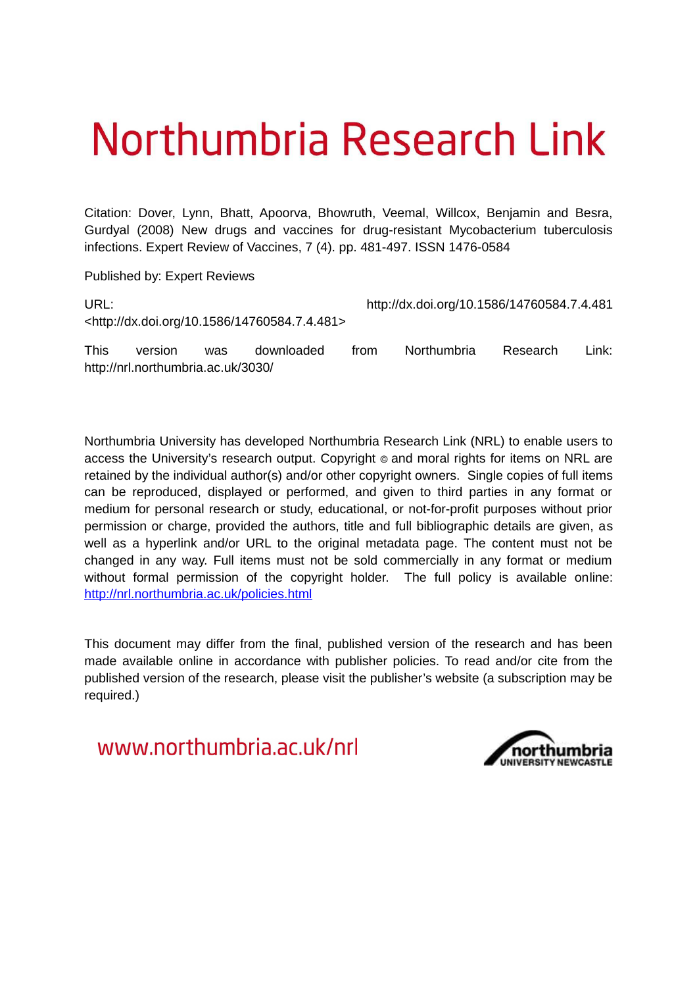# Northumbria Research Link

Citation: Dover, Lynn, Bhatt, Apoorva, Bhowruth, Veemal, Willcox, Benjamin and Besra, Gurdyal (2008) New drugs and vaccines for drug-resistant Mycobacterium tuberculosis infections. Expert Review of Vaccines, 7 (4). pp. 481-497. ISSN 1476-0584

Published by: Expert Reviews

http://nrl.northumbria.ac.uk/3030/

| URL:        |         |     |                                                              |      | http://dx.doi.org/10.1586/14760584.7.4.481 |          |         |  |
|-------------|---------|-----|--------------------------------------------------------------|------|--------------------------------------------|----------|---------|--|
|             |         |     | <http: 10.1586="" 14760584.7.4.481="" dx.doi.org=""></http:> |      |                                            |          |         |  |
| <b>This</b> | version | was | downloaded                                                   | trom | Northumbria                                | Research | Link: . |  |

Northumbria University has developed Northumbria Research Link (NRL) to enable users to access the University's research output. Copyright  $\circ$  and moral rights for items on NRL are retained by the individual author(s) and/or other copyright owners. Single copies of full items can be reproduced, displayed or performed, and given to third parties in any format or medium for personal research or study, educational, or not-for-profit purposes without prior permission or charge, provided the authors, title and full bibliographic details are given, as well as a hyperlink and/or URL to the original metadata page. The content must not be changed in any way. Full items must not be sold commercially in any format or medium without formal permission of the copyright holder. The full policy is available online: <http://nrl.northumbria.ac.uk/policies.html>

This document may differ from the final, published version of the research and has been made available online in accordance with publisher policies. To read and/or cite from the published version of the research, please visit the publisher's website (a subscription may be required.)

www.northumbria.ac.uk/nrl

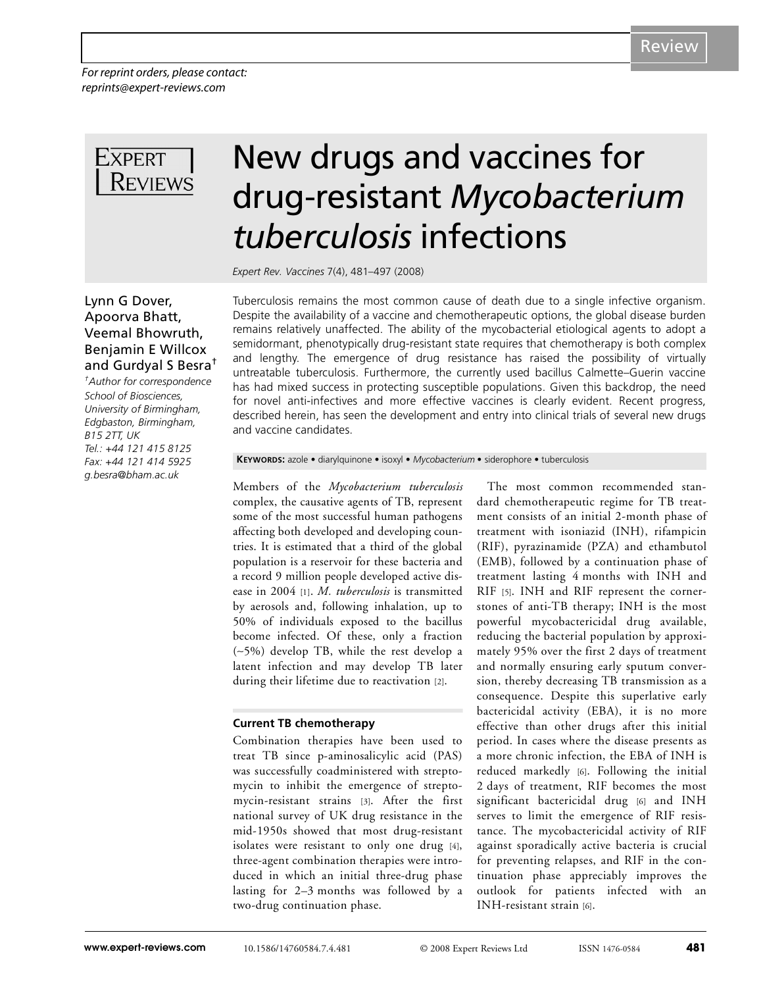*For reprint orders, please contact: reprints@expert-reviews.com*



# New drugs and vaccines for drug-resistant *Mycobacterium tuberculosis* infections

*Expert Rev. Vaccines* 7(4), 481–497 (2008)

Tuberculosis remains the most common cause of death due to a single infective organism. Despite the availability of a vaccine and chemotherapeutic options, the global disease burden remains relatively unaffected. The ability of the mycobacterial etiological agents to adopt a semidormant, phenotypically drug-resistant state requires that chemotherapy is both complex and lengthy. The emergence of drug resistance has raised the possibility of virtually untreatable tuberculosis. Furthermore, the currently used bacillus Calmette–Guerin vaccine has had mixed success in protecting susceptible populations. Given this backdrop, the need for novel anti-infectives and more effective vaccines is clearly evident. Recent progress, described herein, has seen the development and entry into clinical trials of several new drugs and vaccine candidates.

**KEYWORDS:** azole • diarylquinone • isoxyl • *Mycobacterium* • siderophore • tuberculosis

Members of the *Mycobacterium tuberculosis* complex, the causative agents of TB, represent some of the most successful human pathogens affecting both developed and developing countries. It is estimated that a third of the global population is a reservoir for these bacteria and a record 9 million people developed active disease in 2004 [1]. *M. tuberculosis* is transmitted by aerosols and, following inhalation, up to 50% of individuals exposed to the bacillus become infected. Of these, only a fraction (∼5%) develop TB, while the rest develop a latent infection and may develop TB later during their lifetime due to reactivation [2].

# **Current TB chemotherapy**

Combination therapies have been used to treat TB since p-aminosalicylic acid (PAS) was successfully coadministered with streptomycin to inhibit the emergence of streptomycin-resistant strains [3]. After the first national survey of UK drug resistance in the mid-1950s showed that most drug-resistant isolates were resistant to only one drug [4], three-agent combination therapies were introduced in which an initial three-drug phase lasting for 2–3 months was followed by a two-drug continuation phase.

The most common recommended standard chemotherapeutic regime for TB treatment consists of an initial 2-month phase of treatment with isoniazid (INH), rifampicin (RIF), pyrazinamide (PZA) and ethambutol (EMB), followed by a continuation phase of treatment lasting 4 months with INH and RIF [5]. INH and RIF represent the cornerstones of anti-TB therapy; INH is the most powerful mycobactericidal drug available, reducing the bacterial population by approximately 95% over the first 2 days of treatment and normally ensuring early sputum conversion, thereby decreasing TB transmission as a consequence. Despite this superlative early bactericidal activity (EBA), it is no more effective than other drugs after this initial period. In cases where the disease presents as a more chronic infection, the EBA of INH is reduced markedly [6]. Following the initial 2 days of treatment, RIF becomes the most significant bactericidal drug [6] and INH serves to limit the emergence of RIF resistance. The mycobactericidal activity of RIF against sporadically active bacteria is crucial for preventing relapses, and RIF in the continuation phase appreciably improves the outlook for patients infected with an INH-resistant strain [6].

# Lynn G Dover, Apoorva Bhatt, Veemal Bhowruth, Benjamin E Willcox and Gurdyal S Besra†

*†Author for correspondence School of Biosciences, University of Birmingham, Edgbaston, Birmingham, B15 2TT, UK Tel.: +44 121 415 8125 Fax: +44 121 414 5925 g.besra@bham.ac.uk*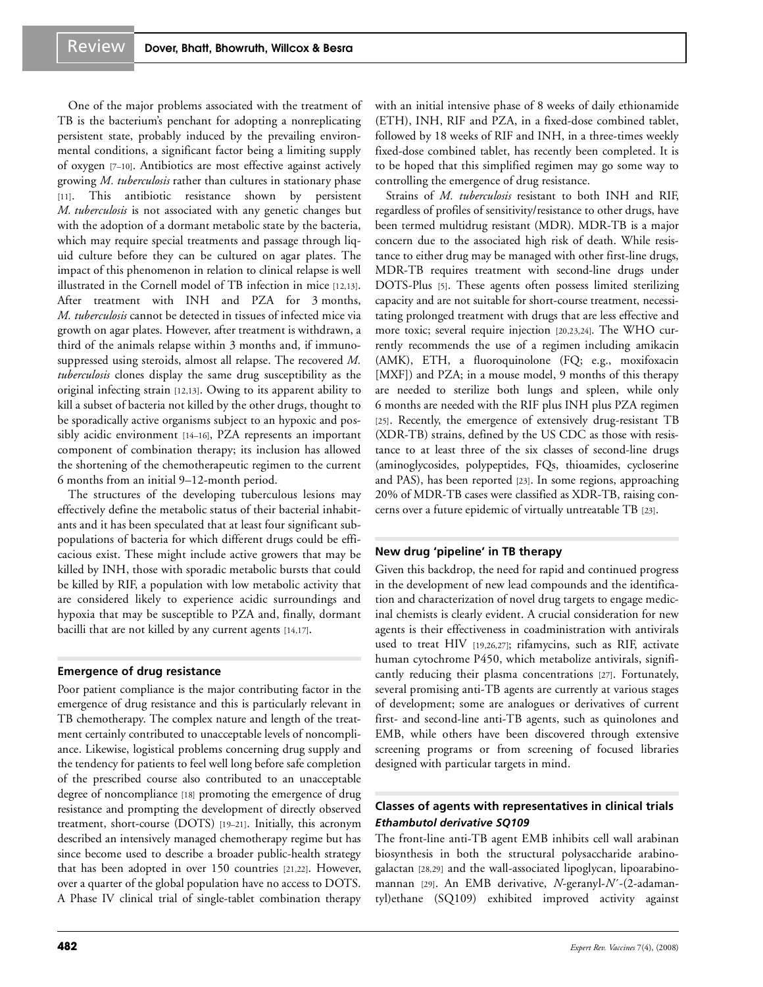One of the major problems associated with the treatment of TB is the bacterium's penchant for adopting a nonreplicating persistent state, probably induced by the prevailing environmental conditions, a significant factor being a limiting supply of oxygen [7–10]. Antibiotics are most effective against actively growing *M. tuberculosis* rather than cultures in stationary phase [11]. This antibiotic resistance shown by persistent *M. tuberculosis* is not associated with any genetic changes but with the adoption of a dormant metabolic state by the bacteria, which may require special treatments and passage through liquid culture before they can be cultured on agar plates. The impact of this phenomenon in relation to clinical relapse is well illustrated in the Cornell model of TB infection in mice [12,13]. After treatment with INH and PZA for 3 months, *M. tuberculosis* cannot be detected in tissues of infected mice via growth on agar plates. However, after treatment is withdrawn, a third of the animals relapse within 3 months and, if immunosuppressed using steroids, almost all relapse. The recovered *M. tuberculosis* clones display the same drug susceptibility as the original infecting strain [12,13]. Owing to its apparent ability to kill a subset of bacteria not killed by the other drugs, thought to be sporadically active organisms subject to an hypoxic and possibly acidic environment [14–16], PZA represents an important component of combination therapy; its inclusion has allowed the shortening of the chemotherapeutic regimen to the current 6 months from an initial 9–12-month period.

The structures of the developing tuberculous lesions may effectively define the metabolic status of their bacterial inhabitants and it has been speculated that at least four significant subpopulations of bacteria for which different drugs could be efficacious exist. These might include active growers that may be killed by INH, those with sporadic metabolic bursts that could be killed by RIF, a population with low metabolic activity that are considered likely to experience acidic surroundings and hypoxia that may be susceptible to PZA and, finally, dormant bacilli that are not killed by any current agents [14,17].

# **Emergence of drug resistance**

Poor patient compliance is the major contributing factor in the emergence of drug resistance and this is particularly relevant in TB chemotherapy. The complex nature and length of the treatment certainly contributed to unacceptable levels of noncompliance. Likewise, logistical problems concerning drug supply and the tendency for patients to feel well long before safe completion of the prescribed course also contributed to an unacceptable degree of noncompliance [18] promoting the emergence of drug resistance and prompting the development of directly observed treatment, short-course (DOTS) [19–21]. Initially, this acronym described an intensively managed chemotherapy regime but has since become used to describe a broader public-health strategy that has been adopted in over 150 countries [21,22]. However, over a quarter of the global population have no access to DOTS. A Phase IV clinical trial of single-tablet combination therapy

with an initial intensive phase of 8 weeks of daily ethionamide (ETH), INH, RIF and PZA, in a fixed-dose combined tablet, followed by 18 weeks of RIF and INH, in a three-times weekly fixed-dose combined tablet, has recently been completed. It is to be hoped that this simplified regimen may go some way to controlling the emergence of drug resistance.

Strains of *M. tuberculosis* resistant to both INH and RIF, regardless of profiles of sensitivity/resistance to other drugs, have been termed multidrug resistant (MDR). MDR-TB is a major concern due to the associated high risk of death. While resistance to either drug may be managed with other first-line drugs, MDR-TB requires treatment with second-line drugs under DOTS-Plus [5]. These agents often possess limited sterilizing capacity and are not suitable for short-course treatment, necessitating prolonged treatment with drugs that are less effective and more toxic; several require injection [20,23,24]. The WHO currently recommends the use of a regimen including amikacin (AMK), ETH, a fluoroquinolone (FQ; e.g., moxifoxacin [MXF]) and PZA; in a mouse model, 9 months of this therapy are needed to sterilize both lungs and spleen, while only 6 months are needed with the RIF plus INH plus PZA regimen [25]. Recently, the emergence of extensively drug-resistant TB (XDR-TB) strains, defined by the US CDC as those with resistance to at least three of the six classes of second-line drugs (aminoglycosides, polypeptides, FQs, thioamides, cycloserine and PAS), has been reported [23]. In some regions, approaching 20% of MDR-TB cases were classified as XDR-TB, raising concerns over a future epidemic of virtually untreatable TB [23].

# **New drug 'pipeline' in TB therapy**

Given this backdrop, the need for rapid and continued progress in the development of new lead compounds and the identification and characterization of novel drug targets to engage medicinal chemists is clearly evident. A crucial consideration for new agents is their effectiveness in coadministration with antivirals used to treat HIV [19,26,27]; rifamycins, such as RIF, activate human cytochrome P450, which metabolize antivirals, significantly reducing their plasma concentrations [27]. Fortunately, several promising anti-TB agents are currently at various stages of development; some are analogues or derivatives of current first- and second-line anti-TB agents, such as quinolones and EMB, while others have been discovered through extensive screening programs or from screening of focused libraries designed with particular targets in mind.

# **Classes of agents with representatives in clinical trials** *Ethambutol derivative SQ109*

The front-line anti-TB agent EMB inhibits cell wall arabinan biosynthesis in both the structural polysaccharide arabinogalactan [28,29] and the wall-associated lipoglycan, lipoarabinomannan [29]. An EMB derivative, *N*-geranyl-*N*´-(2-adamantyl)ethane (SQ109) exhibited improved activity against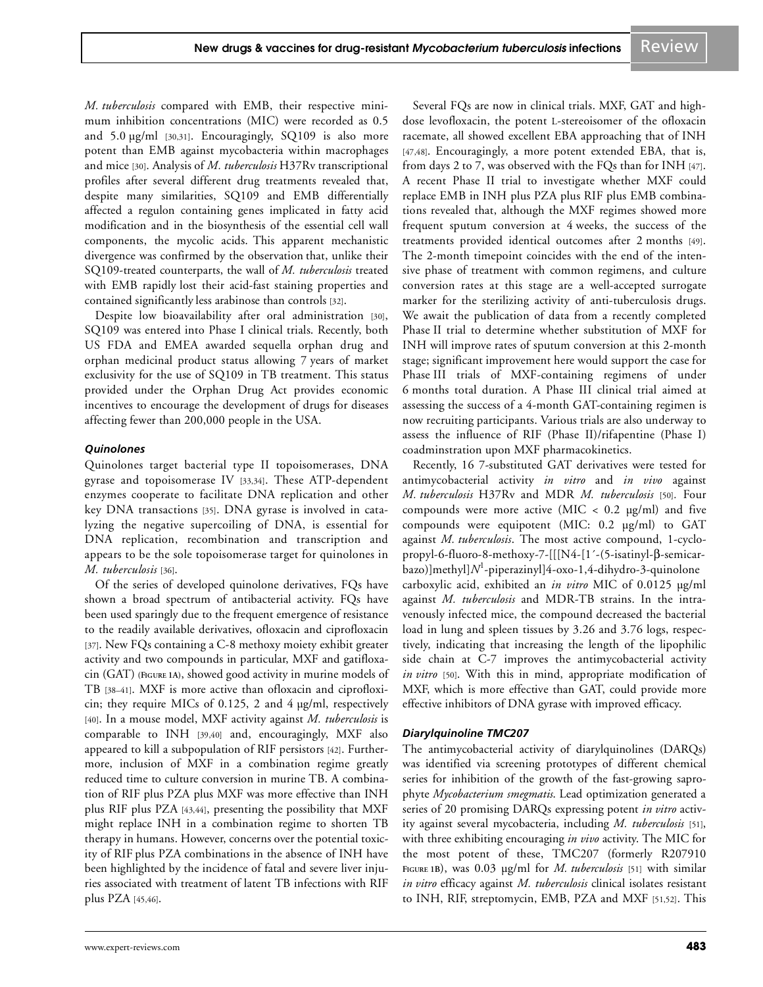*M. tuberculosis* compared with EMB, their respective minimum inhibition concentrations (MIC) were recorded as 0.5 and 5.0 µg/ml [30,31]. Encouragingly, SQ109 is also more potent than EMB against mycobacteria within macrophages and mice [30]. Analysis of *M. tuberculosis* H37Rv transcriptional profiles after several different drug treatments revealed that, despite many similarities, SQ109 and EMB differentially affected a regulon containing genes implicated in fatty acid modification and in the biosynthesis of the essential cell wall components, the mycolic acids. This apparent mechanistic divergence was confirmed by the observation that, unlike their SQ109-treated counterparts, the wall of *M. tuberculosis* treated with EMB rapidly lost their acid-fast staining properties and contained significantly less arabinose than controls [32].

Despite low bioavailability after oral administration [30], SQ109 was entered into Phase I clinical trials. Recently, both US FDA and EMEA awarded sequella orphan drug and orphan medicinal product status allowing 7 years of market exclusivity for the use of SQ109 in TB treatment. This status provided under the Orphan Drug Act provides economic incentives to encourage the development of drugs for diseases affecting fewer than 200,000 people in the USA.

#### *Quinolones*

Quinolones target bacterial type II topoisomerases, DNA gyrase and topoisomerase IV [33,34]. These ATP-dependent enzymes cooperate to facilitate DNA replication and other key DNA transactions [35]. DNA gyrase is involved in catalyzing the negative supercoiling of DNA, is essential for DNA replication, recombination and transcription and appears to be the sole topoisomerase target for quinolones in *M. tuberculosis* [36].

Of the series of developed quinolone derivatives, FQs have shown a broad spectrum of antibacterial activity. FQs have been used sparingly due to the frequent emergence of resistance to the readily available derivatives, ofloxacin and ciprofloxacin [37]. New FQs containing a C-8 methoxy moiety exhibit greater activity and two compounds in particular, MXF and gatifloxacin (GAT) **(FIGURE 1A)**, showed good activity in murine models of TB [38–41]. MXF is more active than ofloxacin and ciprofloxicin; they require MICs of 0.125, 2 and 4  $\mu$ g/ml, respectively [40]. In a mouse model, MXF activity against *M. tuberculosis* is comparable to INH [39,40] and, encouragingly, MXF also appeared to kill a subpopulation of RIF persistors [42]. Furthermore, inclusion of MXF in a combination regime greatly reduced time to culture conversion in murine TB. A combination of RIF plus PZA plus MXF was more effective than INH plus RIF plus PZA [43,44], presenting the possibility that MXF might replace INH in a combination regime to shorten TB therapy in humans. However, concerns over the potential toxicity of RIF plus PZA combinations in the absence of INH have been highlighted by the incidence of fatal and severe liver injuries associated with treatment of latent TB infections with RIF plus PZA [45,46].

Several FQs are now in clinical trials. MXF, GAT and highdose levofloxacin, the potent L-stereoisomer of the ofloxacin racemate, all showed excellent EBA approaching that of INH [47,48]. Encouragingly, a more potent extended EBA, that is, from days 2 to 7, was observed with the FQs than for INH [47]. A recent Phase II trial to investigate whether MXF could replace EMB in INH plus PZA plus RIF plus EMB combinations revealed that, although the MXF regimes showed more frequent sputum conversion at 4 weeks, the success of the treatments provided identical outcomes after 2 months [49]. The 2-month timepoint coincides with the end of the intensive phase of treatment with common regimens, and culture conversion rates at this stage are a well-accepted surrogate marker for the sterilizing activity of anti-tuberculosis drugs. We await the publication of data from a recently completed Phase II trial to determine whether substitution of MXF for INH will improve rates of sputum conversion at this 2-month stage; significant improvement here would support the case for Phase III trials of MXF-containing regimens of under 6 months total duration. A Phase III clinical trial aimed at assessing the success of a 4-month GAT-containing regimen is now recruiting participants. Various trials are also underway to assess the influence of RIF (Phase II)/rifapentine (Phase I) coadminstration upon MXF pharmacokinetics.

Recently, 16 7-substituted GAT derivatives were tested for antimycobacterial activity *in vitro* and *in vivo* against *M. tuberculosis* H37Rv and MDR *M. tuberculosis* [50]*.* Four compounds were more active (MIC  $< 0.2$  µg/ml) and five compounds were equipotent (MIC: 0.2 µg/ml) to GAT against *M. tuberculosis*. The most active compound, 1-cyclopropyl-6-fluoro-8-methoxy-7-[[[N4-[1´-(5-isatinyl-β-semicarbazo)]methyl]*N* 1 -piperazinyl]4-oxo-1,4-dihydro-3-quinolone carboxylic acid, exhibited an *in vitro* MIC of 0.0125 µg/ml against *M. tuberculosis* and MDR-TB strains. In the intravenously infected mice, the compound decreased the bacterial load in lung and spleen tissues by 3.26 and 3.76 logs, respectively, indicating that increasing the length of the lipophilic side chain at C-7 improves the antimycobacterial activity *in vitro* [50]. With this in mind, appropriate modification of MXF, which is more effective than GAT, could provide more effective inhibitors of DNA gyrase with improved efficacy.

# *Diarylquinoline TMC207*

The antimycobacterial activity of diarylquinolines (DARQs) was identified via screening prototypes of different chemical series for inhibition of the growth of the fast-growing saprophyte *Mycobacterium smegmatis*. Lead optimization generated a series of 20 promising DARQs expressing potent *in vitro* activity against several mycobacteria, including *M. tuberculosis* [51], with three exhibiting encouraging *in vivo* activity. The MIC for the most potent of these, TMC207 (formerly R207910 **FIGURE 1B**), was 0.03 µg/ml for *M. tuberculosis* [51] with similar *in vitro* efficacy against *M. tuberculosis* clinical isolates resistant to INH, RIF, streptomycin, EMB, PZA and MXF [51,52]. This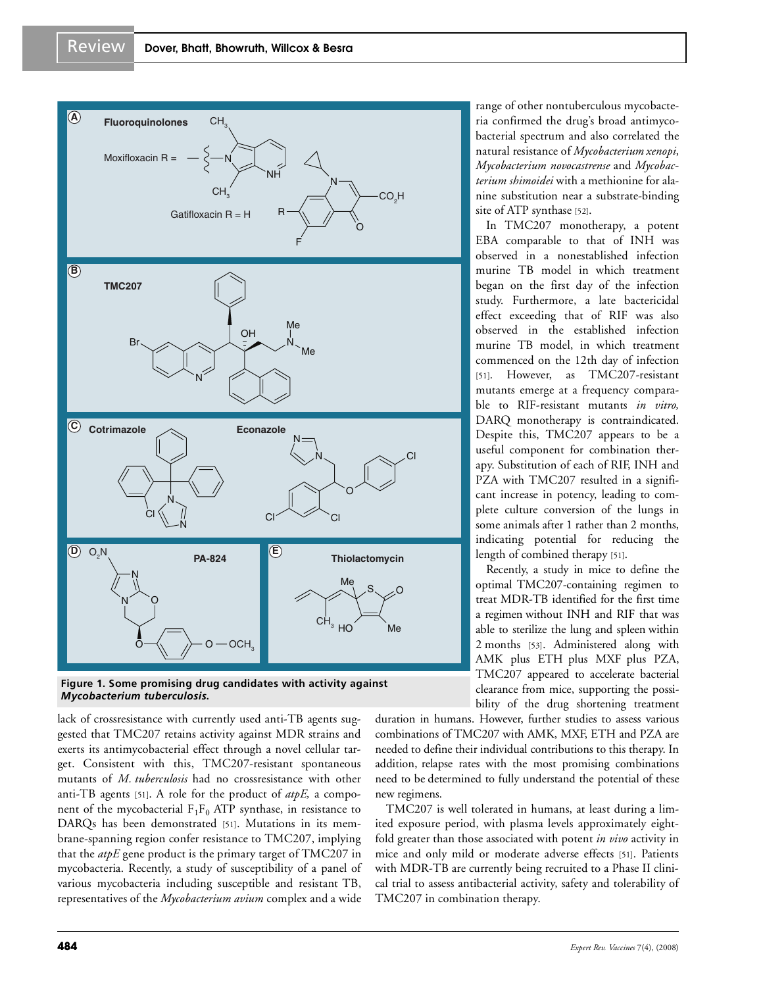

#### **Figure 1. Some promising drug candidates with activity against**  *Mycobacterium tuberculosis***.**

lack of crossresistance with currently used anti-TB agents suggested that TMC207 retains activity against MDR strains and exerts its antimycobacterial effect through a novel cellular target. Consistent with this, TMC207-resistant spontaneous mutants of *M. tuberculosis* had no crossresistance with other anti-TB agents [51]. A role for the product of *atpE,* a component of the mycobacterial  $F_1F_0$  ATP synthase, in resistance to DARQs has been demonstrated [51]. Mutations in its membrane-spanning region confer resistance to TMC207, implying that the *atpE* gene product is the primary target of TMC207 in mycobacteria. Recently, a study of susceptibility of a panel of various mycobacteria including susceptible and resistant TB, representatives of the *Mycobacterium avium* complex and a wide range of other nontuberculous mycobacteria confirmed the drug's broad antimycobacterial spectrum and also correlated the natural resistance of *Mycobacterium xenopi*, *Mycobacterium novocastrense* and *Mycobacterium shimoidei* with a methionine for alanine substitution near a substrate-binding site of ATP synthase [52].

In TMC207 monotherapy, a potent EBA comparable to that of INH was observed in a nonestablished infection murine TB model in which treatment began on the first day of the infection study. Furthermore, a late bactericidal effect exceeding that of RIF was also observed in the established infection murine TB model, in which treatment commenced on the 12th day of infection [51]. However, as TMC207-resistant mutants emerge at a frequency comparable to RIF-resistant mutants *in vitro,* DARQ monotherapy is contraindicated. Despite this, TMC207 appears to be a useful component for combination therapy. Substitution of each of RIF, INH and PZA with TMC207 resulted in a significant increase in potency, leading to complete culture conversion of the lungs in some animals after 1 rather than 2 months, indicating potential for reducing the length of combined therapy [51].

Recently, a study in mice to define the optimal TMC207-containing regimen to treat MDR-TB identified for the first time a regimen without INH and RIF that was able to sterilize the lung and spleen within 2 months [53]. Administered along with AMK plus ETH plus MXF plus PZA, TMC207 appeared to accelerate bacterial clearance from mice, supporting the possibility of the drug shortening treatment

duration in humans. However, further studies to assess various combinations of TMC207 with AMK, MXF, ETH and PZA are needed to define their individual contributions to this therapy. In addition, relapse rates with the most promising combinations need to be determined to fully understand the potential of these new regimens.

TMC207 is well tolerated in humans, at least during a limited exposure period, with plasma levels approximately eightfold greater than those associated with potent *in vivo* activity in mice and only mild or moderate adverse effects [51]. Patients with MDR-TB are currently being recruited to a Phase II clinical trial to assess antibacterial activity, safety and tolerability of TMC207 in combination therapy.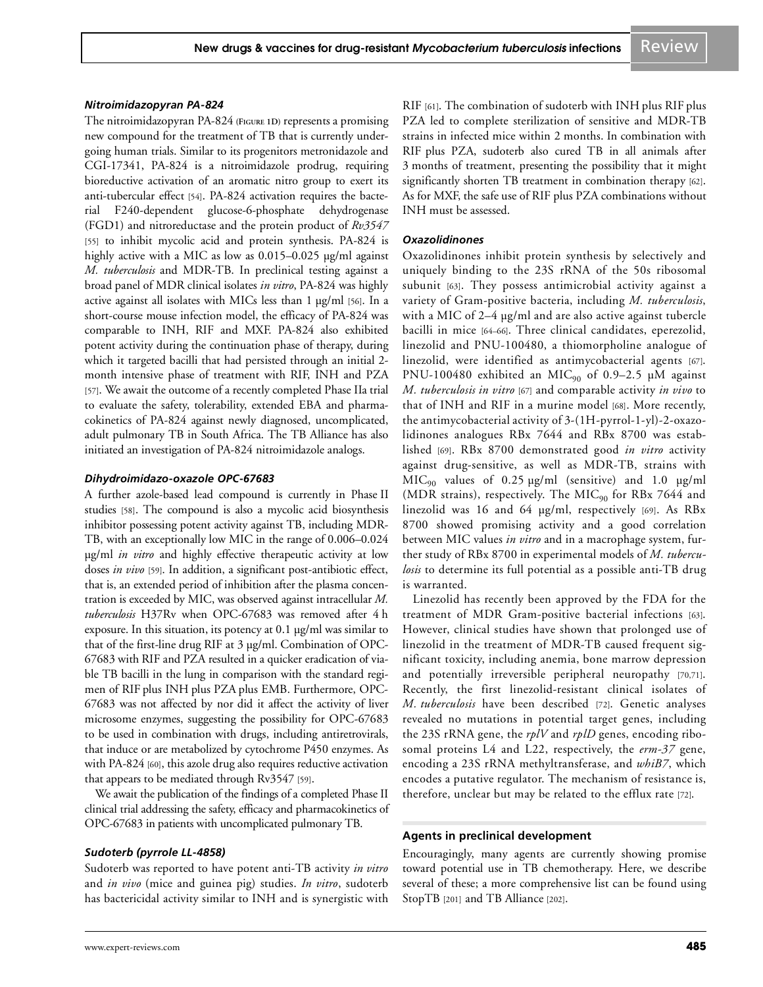#### *Nitroimidazopyran PA-824*

The nitroimidazopyran PA-824 **(FIGURE 1D)** represents a promising new compound for the treatment of TB that is currently undergoing human trials. Similar to its progenitors metronidazole and CGI-17341, PA-824 is a nitroimidazole prodrug, requiring bioreductive activation of an aromatic nitro group to exert its anti-tubercular effect [54]. PA-824 activation requires the bacterial F240-dependent glucose-6-phosphate dehydrogenase (FGD1) and nitroreductase and the protein product of *Rv3547* [55] to inhibit mycolic acid and protein synthesis. PA-824 is highly active with a MIC as low as 0.015–0.025 µg/ml against *M. tuberculosis* and MDR-TB. In preclinical testing against a broad panel of MDR clinical isolates *in vitro*, PA-824 was highly active against all isolates with MICs less than 1 µg/ml [56]. In a short-course mouse infection model, the efficacy of PA-824 was comparable to INH, RIF and MXF. PA-824 also exhibited potent activity during the continuation phase of therapy, during which it targeted bacilli that had persisted through an initial 2 month intensive phase of treatment with RIF, INH and PZA [57]. We await the outcome of a recently completed Phase IIa trial to evaluate the safety, tolerability, extended EBA and pharmacokinetics of PA-824 against newly diagnosed, uncomplicated, adult pulmonary TB in South Africa. The TB Alliance has also initiated an investigation of PA-824 nitroimidazole analogs.

#### *Dihydroimidazo-oxazole OPC-67683*

A further azole-based lead compound is currently in Phase II studies [58]. The compound is also a mycolic acid biosynthesis inhibitor possessing potent activity against TB, including MDR-TB, with an exceptionally low MIC in the range of 0.006–0.024 µg/ml *in vitro* and highly effective therapeutic activity at low doses *in vivo* [59]. In addition, a significant post-antibiotic effect, that is, an extended period of inhibition after the plasma concentration is exceeded by MIC, was observed against intracellular *M. tuberculosis* H37Rv when OPC-67683 was removed after 4 h exposure. In this situation, its potency at 0.1 µg/ml was similar to that of the first-line drug RIF at 3 µg/ml. Combination of OPC-67683 with RIF and PZA resulted in a quicker eradication of viable TB bacilli in the lung in comparison with the standard regimen of RIF plus INH plus PZA plus EMB. Furthermore, OPC-67683 was not affected by nor did it affect the activity of liver microsome enzymes, suggesting the possibility for OPC-67683 to be used in combination with drugs, including antiretrovirals, that induce or are metabolized by cytochrome P450 enzymes. As with PA-824 [60], this azole drug also requires reductive activation that appears to be mediated through Rv3547 [59].

We await the publication of the findings of a completed Phase II clinical trial addressing the safety, efficacy and pharmacokinetics of OPC-67683 in patients with uncomplicated pulmonary TB.

#### *Sudoterb (pyrrole LL-4858)*

Sudoterb was reported to have potent anti-TB activity *in vitro* and *in vivo* (mice and guinea pig) studies. *In vitro*, sudoterb has bactericidal activity similar to INH and is synergistic with RIF [61]. The combination of sudoterb with INH plus RIF plus PZA led to complete sterilization of sensitive and MDR-TB strains in infected mice within 2 months. In combination with RIF plus PZA, sudoterb also cured TB in all animals after 3 months of treatment, presenting the possibility that it might significantly shorten TB treatment in combination therapy [62]. As for MXF, the safe use of RIF plus PZA combinations without INH must be assessed.

#### *Oxazolidinones*

Oxazolidinones inhibit protein synthesis by selectively and uniquely binding to the 23S rRNA of the 50s ribosomal subunit [63]. They possess antimicrobial activity against a variety of Gram-positive bacteria, including *M. tuberculosis*, with a MIC of 2–4 µg/ml and are also active against tubercle bacilli in mice [64–66]. Three clinical candidates, eperezolid, linezolid and PNU-100480, a thiomorpholine analogue of linezolid, were identified as antimycobacterial agents [67]. PNU-100480 exhibited an MIC<sub>90</sub> of 0.9-2.5 µM against *M. tuberculosis in vitro* [67] and comparable activity *in vivo* to that of INH and RIF in a murine model [68]. More recently, the antimycobacterial activity of 3-(1H-pyrrol-1-yl)-2-oxazolidinones analogues RBx 7644 and RBx 8700 was established [69]. RBx 8700 demonstrated good *in vitro* activity against drug-sensitive, as well as MDR-TB, strains with  $MIC<sub>90</sub>$  values of 0.25 µg/ml (sensitive) and 1.0 µg/ml (MDR strains), respectively. The MIC<sub>90</sub> for RBx 7644 and linezolid was 16 and 64 µg/ml, respectively [69]. As RBx 8700 showed promising activity and a good correlation between MIC values *in vitro* and in a macrophage system, further study of RBx 8700 in experimental models of *M. tuberculosis* to determine its full potential as a possible anti-TB drug is warranted.

Linezolid has recently been approved by the FDA for the treatment of MDR Gram-positive bacterial infections [63]. However, clinical studies have shown that prolonged use of linezolid in the treatment of MDR-TB caused frequent significant toxicity, including anemia, bone marrow depression and potentially irreversible peripheral neuropathy [70,71]. Recently, the first linezolid-resistant clinical isolates of *M. tuberculosis* have been described [72]. Genetic analyses revealed no mutations in potential target genes, including the 23S rRNA gene, the *rplV* and *rplD* genes, encoding ribosomal proteins L4 and L22, respectively, the *erm-37* gene, encoding a 23S rRNA methyltransferase, and *whiB7*, which encodes a putative regulator. The mechanism of resistance is, therefore, unclear but may be related to the efflux rate [72].

#### **Agents in preclinical development**

Encouragingly, many agents are currently showing promise toward potential use in TB chemotherapy. Here, we describe several of these; a more comprehensive list can be found using StopTB [201] and TB Alliance [202].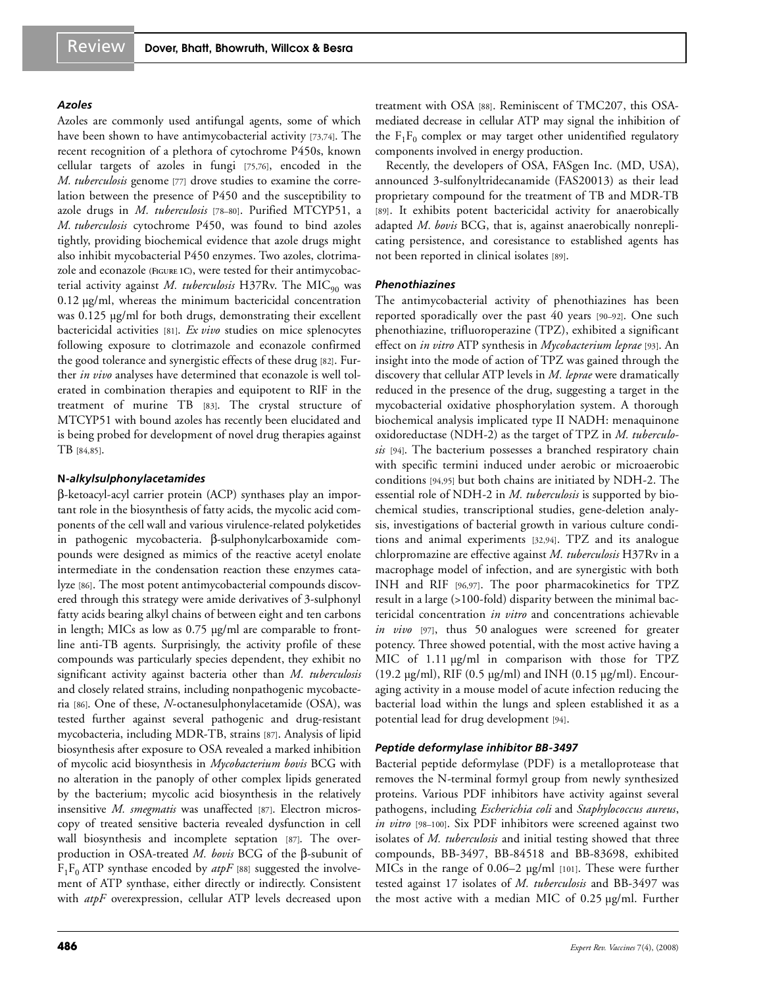#### *Azoles*

Azoles are commonly used antifungal agents, some of which have been shown to have antimycobacterial activity [73,74]. The recent recognition of a plethora of cytochrome P450s, known cellular targets of azoles in fungi [75,76], encoded in the *M. tuberculosis* genome [77] drove studies to examine the correlation between the presence of P450 and the susceptibility to azole drugs in *M. tuberculosis* [78–80]. Purified MTCYP51, a *M. tuberculosis* cytochrome P450, was found to bind azoles tightly, providing biochemical evidence that azole drugs might also inhibit mycobacterial P450 enzymes. Two azoles, clotrimazole and econazole **(FIGURE 1C)**, were tested for their antimycobacterial activity against *M. tuberculosis* H37Rv. The MIC<sub>90</sub> was 0.12 µg/ml, whereas the minimum bactericidal concentration was 0.125 µg/ml for both drugs, demonstrating their excellent bactericidal activities [81]. *Ex vivo* studies on mice splenocytes following exposure to clotrimazole and econazole confirmed the good tolerance and synergistic effects of these drug [82]. Further *in vivo* analyses have determined that econazole is well tolerated in combination therapies and equipotent to RIF in the treatment of murine TB [83]. The crystal structure of MTCYP51 with bound azoles has recently been elucidated and is being probed for development of novel drug therapies against TB [84,85].

#### **N***-alkylsulphonylacetamides*

β-ketoacyl-acyl carrier protein (ACP) synthases play an important role in the biosynthesis of fatty acids, the mycolic acid components of the cell wall and various virulence-related polyketides in pathogenic mycobacteria. β-sulphonylcarboxamide compounds were designed as mimics of the reactive acetyl enolate intermediate in the condensation reaction these enzymes catalyze [86]. The most potent antimycobacterial compounds discovered through this strategy were amide derivatives of 3-sulphonyl fatty acids bearing alkyl chains of between eight and ten carbons in length; MICs as low as 0.75 µg/ml are comparable to frontline anti-TB agents. Surprisingly, the activity profile of these compounds was particularly species dependent, they exhibit no significant activity against bacteria other than *M. tuberculosis* and closely related strains, including nonpathogenic mycobacteria [86]. One of these, *N*-octanesulphonylacetamide (OSA), was tested further against several pathogenic and drug-resistant mycobacteria, including MDR-TB, strains [87]. Analysis of lipid biosynthesis after exposure to OSA revealed a marked inhibition of mycolic acid biosynthesis in *Mycobacterium bovis* BCG with no alteration in the panoply of other complex lipids generated by the bacterium; mycolic acid biosynthesis in the relatively insensitive *M. smegmatis* was unaffected [87]. Electron microscopy of treated sensitive bacteria revealed dysfunction in cell wall biosynthesis and incomplete septation [87]. The overproduction in OSA-treated *M. bovis* BCG of the β-subunit of  $F_1F_0$  ATP synthase encoded by  $atpF$  [88] suggested the involvement of ATP synthase, either directly or indirectly. Consistent with *atpF* overexpression, cellular ATP levels decreased upon treatment with OSA [88]. Reminiscent of TMC207, this OSAmediated decrease in cellular ATP may signal the inhibition of the  $F_1F_0$  complex or may target other unidentified regulatory components involved in energy production.

Recently, the developers of OSA, FASgen Inc. (MD, USA), announced 3-sulfonyltridecanamide (FAS20013) as their lead proprietary compound for the treatment of TB and MDR-TB [89]. It exhibits potent bactericidal activity for anaerobically adapted *M. bovis* BCG, that is, against anaerobically nonreplicating persistence, and coresistance to established agents has not been reported in clinical isolates [89].

#### *Phenothiazines*

The antimycobacterial activity of phenothiazines has been reported sporadically over the past 40 years [90–92]. One such phenothiazine, trifluoroperazine (TPZ), exhibited a significant effect on *in vitro* ATP synthesis in *Mycobacterium leprae* [93]. An insight into the mode of action of TPZ was gained through the discovery that cellular ATP levels in *M. leprae* were dramatically reduced in the presence of the drug, suggesting a target in the mycobacterial oxidative phosphorylation system. A thorough biochemical analysis implicated type II NADH: menaquinone oxidoreductase (NDH-2) as the target of TPZ in *M. tuberculosis* [94]. The bacterium possesses a branched respiratory chain with specific termini induced under aerobic or microaerobic conditions [94,95] but both chains are initiated by NDH-2. The essential role of NDH-2 in *M. tuberculosis* is supported by biochemical studies, transcriptional studies, gene-deletion analysis, investigations of bacterial growth in various culture conditions and animal experiments [32,94]. TPZ and its analogue chlorpromazine are effective against *M. tuberculosis* H37Rv in a macrophage model of infection, and are synergistic with both INH and RIF [96,97]. The poor pharmacokinetics for TPZ result in a large (>100-fold) disparity between the minimal bactericidal concentration *in vitro* and concentrations achievable *in vivo* [97], thus 50 analogues were screened for greater potency. Three showed potential, with the most active having a MIC of 1.11  $\mu$ g/ml in comparison with those for TPZ (19.2  $\mu$ g/ml), RIF (0.5  $\mu$ g/ml) and INH (0.15  $\mu$ g/ml). Encouraging activity in a mouse model of acute infection reducing the bacterial load within the lungs and spleen established it as a potential lead for drug development [94].

# *Peptide deformylase inhibitor BB-3497*

Bacterial peptide deformylase (PDF) is a metalloprotease that removes the N-terminal formyl group from newly synthesized proteins. Various PDF inhibitors have activity against several pathogens, including *Escherichia coli* and *Staphylococcus aureus*, *in vitro* [98–100]. Six PDF inhibitors were screened against two isolates of *M. tuberculosis* and initial testing showed that three compounds, BB-3497, BB-84518 and BB-83698, exhibited MICs in the range of 0.06–2 µg/ml [101]. These were further tested against 17 isolates of *M. tuberculosis* and BB-3497 was the most active with a median MIC of 0.25 µg/ml. Further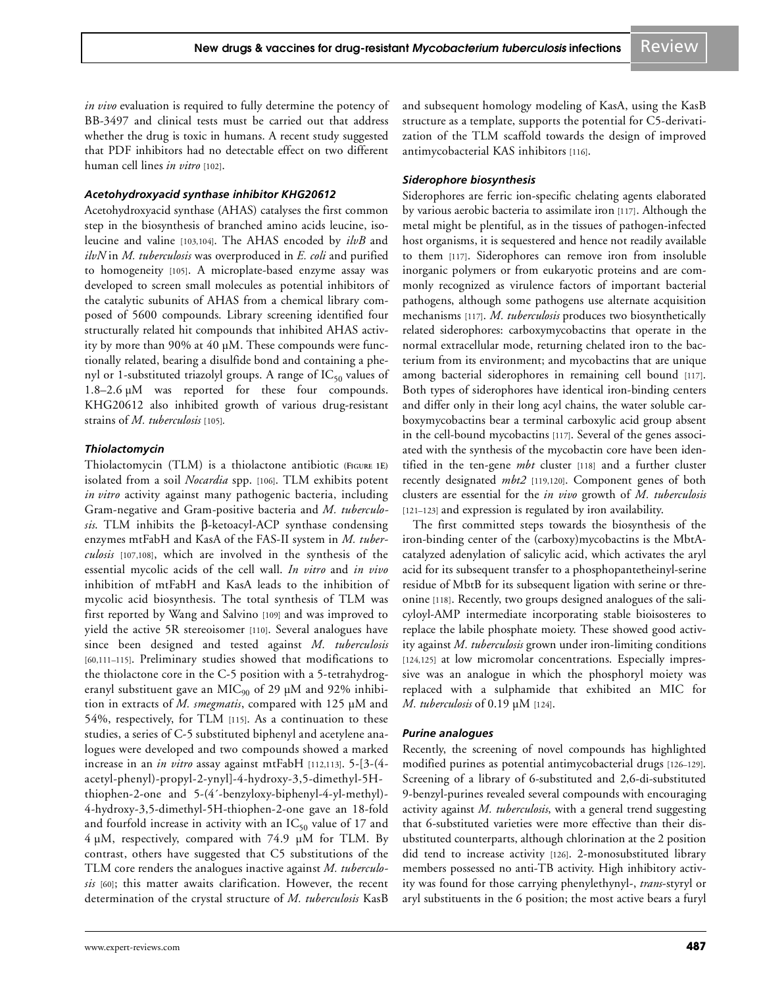*in vivo* evaluation is required to fully determine the potency of BB-3497 and clinical tests must be carried out that address whether the drug is toxic in humans. A recent study suggested that PDF inhibitors had no detectable effect on two different human cell lines *in vitro* [102].

#### *Acetohydroxyacid synthase inhibitor KHG20612*

Acetohydroxyacid synthase (AHAS) catalyses the first common step in the biosynthesis of branched amino acids leucine, isoleucine and valine [103,104]. The AHAS encoded by *ilvB* and *ilvN* in *M. tuberculosis* was overproduced in *E. coli* and purified to homogeneity [105]. A microplate-based enzyme assay was developed to screen small molecules as potential inhibitors of the catalytic subunits of AHAS from a chemical library composed of 5600 compounds. Library screening identified four structurally related hit compounds that inhibited AHAS activity by more than 90% at 40 µM. These compounds were functionally related, bearing a disulfide bond and containing a phenyl or 1-substituted triazolyl groups. A range of  $IC_{50}$  values of 1.8–2.6 µM was reported for these four compounds. KHG20612 also inhibited growth of various drug-resistant strains of *M. tuberculosis* [105]*.*

#### *Thiolactomycin*

Thiolactomycin (TLM) is a thiolactone antibiotic **(FIGURE 1E)** isolated from a soil *Nocardia* spp. [106]. TLM exhibits potent *in vitro* activity against many pathogenic bacteria, including Gram-negative and Gram-positive bacteria and *M. tuberculosis*. TLM inhibits the β-ketoacyl-ACP synthase condensing enzymes mtFabH and KasA of the FAS-II system in *M. tuberculosis* [107,108], which are involved in the synthesis of the essential mycolic acids of the cell wall. *In vitro* and *in vivo* inhibition of mtFabH and KasA leads to the inhibition of mycolic acid biosynthesis. The total synthesis of TLM was first reported by Wang and Salvino [109] and was improved to yield the active 5R stereoisomer [110]. Several analogues have since been designed and tested against *M. tuberculosis* [60,111–115]. Preliminary studies showed that modifications to the thiolactone core in the C-5 position with a 5-tetrahydrogeranyl substituent gave an  $MIC_{90}$  of 29  $\mu$ M and 92% inhibition in extracts of *M. smegmatis*, compared with 125 µM and 54%, respectively, for TLM [115]. As a continuation to these studies, a series of C-5 substituted biphenyl and acetylene analogues were developed and two compounds showed a marked increase in an *in vitro* assay against mtFabH [112,113]. 5-[3-(4 acetyl-phenyl)-propyl-2-ynyl]-4-hydroxy-3,5-dimethyl-5Hthiophen-2-one and 5-(4´-benzyloxy-biphenyl-4-yl-methyl)- 4-hydroxy-3,5-dimethyl-5H-thiophen-2-one gave an 18-fold and fourfold increase in activity with an  $IC_{50}$  value of 17 and 4 µM, respectively, compared with 74.9 µM for TLM. By contrast, others have suggested that C5 substitutions of the TLM core renders the analogues inactive against *M. tuberculosis* [60]; this matter awaits clarification. However, the recent determination of the crystal structure of *M. tuberculosis* KasB

#### *Siderophore biosynthesis*

Siderophores are ferric ion-specific chelating agents elaborated by various aerobic bacteria to assimilate iron [117]. Although the metal might be plentiful, as in the tissues of pathogen-infected host organisms, it is sequestered and hence not readily available to them [117]. Siderophores can remove iron from insoluble inorganic polymers or from eukaryotic proteins and are commonly recognized as virulence factors of important bacterial pathogens, although some pathogens use alternate acquisition mechanisms [117]. *M. tuberculosis* produces two biosynthetically related siderophores: carboxymycobactins that operate in the normal extracellular mode, returning chelated iron to the bacterium from its environment; and mycobactins that are unique among bacterial siderophores in remaining cell bound [117]. Both types of siderophores have identical iron-binding centers and differ only in their long acyl chains, the water soluble carboxymycobactins bear a terminal carboxylic acid group absent in the cell-bound mycobactins [117]. Several of the genes associated with the synthesis of the mycobactin core have been identified in the ten-gene *mbt* cluster [118] and a further cluster recently designated *mbt2* [119,120]. Component genes of both clusters are essential for the *in vivo* growth of *M. tuberculosis* [121–123] and expression is regulated by iron availability.

The first committed steps towards the biosynthesis of the iron-binding center of the (carboxy)mycobactins is the MbtAcatalyzed adenylation of salicylic acid, which activates the aryl acid for its subsequent transfer to a phosphopantetheinyl-serine residue of MbtB for its subsequent ligation with serine or threonine [118]. Recently, two groups designed analogues of the salicyloyl-AMP intermediate incorporating stable bioisosteres to replace the labile phosphate moiety. These showed good activity against *M. tuberculosis* grown under iron-limiting conditions [124,125] at low micromolar concentrations. Especially impressive was an analogue in which the phosphoryl moiety was replaced with a sulphamide that exhibited an MIC for *M. tuberculosis* of 0.19 µM [124].

# *Purine analogues*

Recently, the screening of novel compounds has highlighted modified purines as potential antimycobacterial drugs [126–129]. Screening of a library of 6-substituted and 2,6-di-substituted 9-benzyl-purines revealed several compounds with encouraging activity against *M. tuberculosis*, with a general trend suggesting that 6-substituted varieties were more effective than their disubstituted counterparts, although chlorination at the 2 position did tend to increase activity [126]. 2-monosubstituted library members possessed no anti-TB activity. High inhibitory activity was found for those carrying phenylethynyl-, *trans*-styryl or aryl substituents in the 6 position; the most active bears a furyl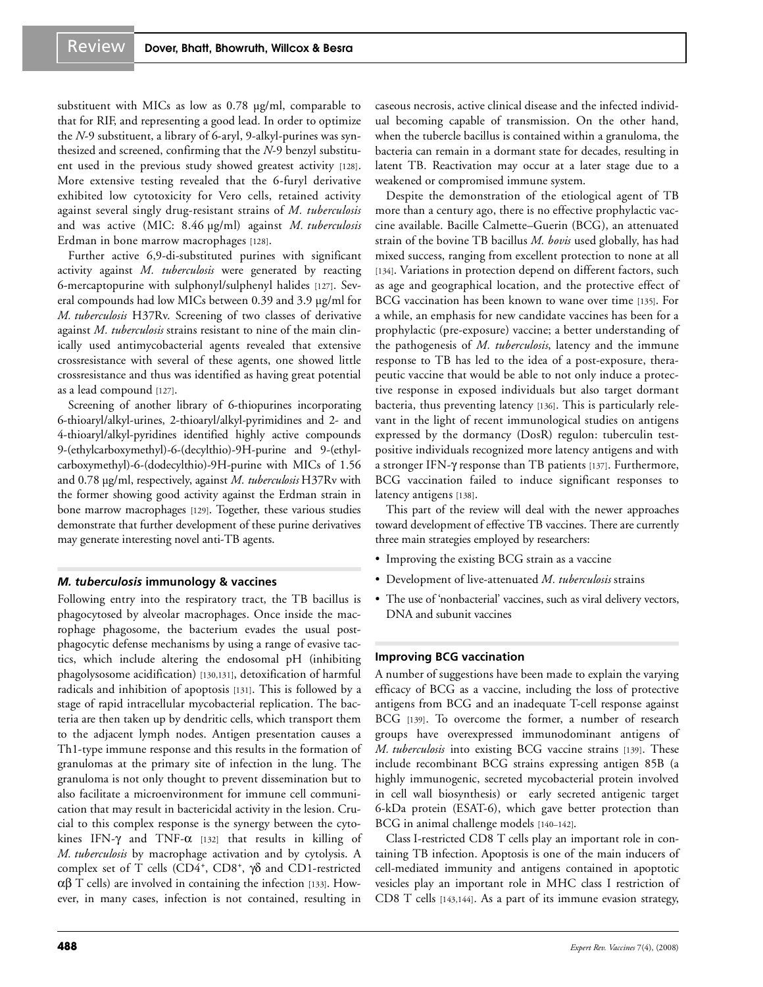substituent with MICs as low as 0.78 µg/ml, comparable to that for RIF, and representing a good lead. In order to optimize the *N*-9 substituent, a library of 6-aryl, 9-alkyl-purines was synthesized and screened, confirming that the *N*-9 benzyl substituent used in the previous study showed greatest activity [128]. More extensive testing revealed that the 6-furyl derivative exhibited low cytotoxicity for Vero cells, retained activity against several singly drug-resistant strains of *M. tuberculosis* and was active (MIC: 8.46 µg/ml) against *M. tuberculosis* Erdman in bone marrow macrophages [128].

Further active 6,9-di-substituted purines with significant activity against *M. tuberculosis* were generated by reacting 6-mercaptopurine with sulphonyl/sulphenyl halides [127]. Several compounds had low MICs between 0.39 and 3.9 µg/ml for *M. tuberculosis* H37Rv. Screening of two classes of derivative against *M. tuberculosis* strains resistant to nine of the main clinically used antimycobacterial agents revealed that extensive crossresistance with several of these agents, one showed little crossresistance and thus was identified as having great potential as a lead compound [127].

Screening of another library of 6-thiopurines incorporating 6-thioaryl/alkyl-urines, 2-thioaryl/alkyl-pyrimidines and 2- and 4-thioaryl/alkyl-pyridines identified highly active compounds 9-(ethylcarboxymethyl)-6-(decylthio)-9H-purine and 9-(ethylcarboxymethyl)-6-(dodecylthio)-9H-purine with MICs of 1.56 and 0.78 µg/ml, respectively, against *M. tuberculosis* H37Rv with the former showing good activity against the Erdman strain in bone marrow macrophages [129]. Together, these various studies demonstrate that further development of these purine derivatives may generate interesting novel anti-TB agents.

#### *M. tuberculosis* **immunology & vaccines**

Following entry into the respiratory tract, the TB bacillus is phagocytosed by alveolar macrophages. Once inside the macrophage phagosome, the bacterium evades the usual postphagocytic defense mechanisms by using a range of evasive tactics, which include altering the endosomal pH (inhibiting phagolysosome acidification) [130,131], detoxification of harmful radicals and inhibition of apoptosis [131]. This is followed by a stage of rapid intracellular mycobacterial replication. The bacteria are then taken up by dendritic cells, which transport them to the adjacent lymph nodes. Antigen presentation causes a Th1-type immune response and this results in the formation of granulomas at the primary site of infection in the lung. The granuloma is not only thought to prevent dissemination but to also facilitate a microenvironment for immune cell communication that may result in bactericidal activity in the lesion. Crucial to this complex response is the synergy between the cytokines IFN- $\gamma$  and TNF- $\alpha$  [132] that results in killing of *M. tuberculosis* by macrophage activation and by cytolysis. A complex set of T cells (CD4<sup>+</sup>, CD8<sup>+</sup>, γδ and CD1-restricted αβ T cells) are involved in containing the infection [133]. However, in many cases, infection is not contained, resulting in caseous necrosis, active clinical disease and the infected individual becoming capable of transmission. On the other hand, when the tubercle bacillus is contained within a granuloma, the bacteria can remain in a dormant state for decades, resulting in latent TB. Reactivation may occur at a later stage due to a weakened or compromised immune system.

Despite the demonstration of the etiological agent of TB more than a century ago, there is no effective prophylactic vaccine available. Bacille Calmette–Guerin (BCG), an attenuated strain of the bovine TB bacillus *M. bovis* used globally, has had mixed success, ranging from excellent protection to none at all [134]. Variations in protection depend on different factors, such as age and geographical location, and the protective effect of BCG vaccination has been known to wane over time [135]. For a while, an emphasis for new candidate vaccines has been for a prophylactic (pre-exposure) vaccine; a better understanding of the pathogenesis of *M. tuberculosis*, latency and the immune response to TB has led to the idea of a post-exposure, therapeutic vaccine that would be able to not only induce a protective response in exposed individuals but also target dormant bacteria, thus preventing latency [136]. This is particularly relevant in the light of recent immunological studies on antigens expressed by the dormancy (DosR) regulon: tuberculin testpositive individuals recognized more latency antigens and with a stronger IFN-γ response than TB patients [137]. Furthermore, BCG vaccination failed to induce significant responses to latency antigens [138].

This part of the review will deal with the newer approaches toward development of effective TB vaccines. There are currently three main strategies employed by researchers:

- Improving the existing BCG strain as a vaccine
- Development of live-attenuated *M. tuberculosis* strains
- The use of 'nonbacterial' vaccines, such as viral delivery vectors, DNA and subunit vaccines

#### **Improving BCG vaccination**

A number of suggestions have been made to explain the varying efficacy of BCG as a vaccine, including the loss of protective antigens from BCG and an inadequate T-cell response against BCG [139]. To overcome the former, a number of research groups have overexpressed immunodominant antigens of *M. tuberculosis* into existing BCG vaccine strains [139]. These include recombinant BCG strains expressing antigen 85B (a highly immunogenic, secreted mycobacterial protein involved in cell wall biosynthesis) or early secreted antigenic target 6-kDa protein (ESAT-6), which gave better protection than BCG in animal challenge models [140–142].

Class I-restricted CD8 T cells play an important role in containing TB infection. Apoptosis is one of the main inducers of cell-mediated immunity and antigens contained in apoptotic vesicles play an important role in MHC class I restriction of CD8 T cells [143,144]. As a part of its immune evasion strategy,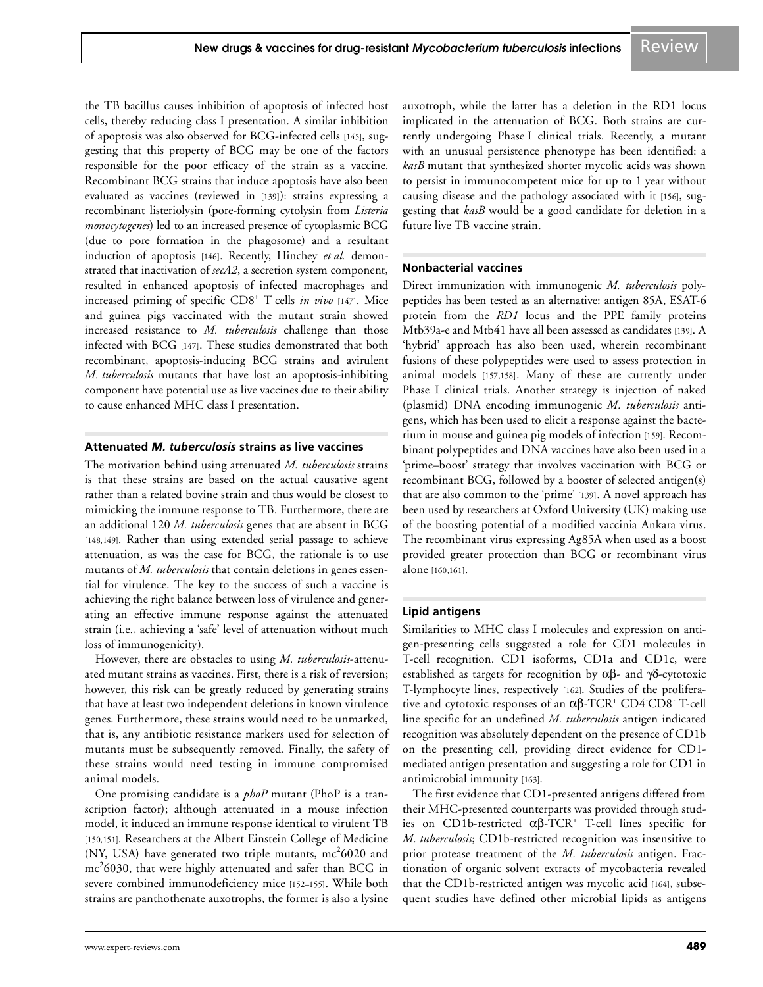the TB bacillus causes inhibition of apoptosis of infected host cells, thereby reducing class I presentation. A similar inhibition of apoptosis was also observed for BCG-infected cells [145], suggesting that this property of BCG may be one of the factors responsible for the poor efficacy of the strain as a vaccine. Recombinant BCG strains that induce apoptosis have also been evaluated as vaccines (reviewed in [139]): strains expressing a recombinant listeriolysin (pore-forming cytolysin from *Listeria monocytogenes*) led to an increased presence of cytoplasmic BCG (due to pore formation in the phagosome) and a resultant induction of apoptosis [146]. Recently, Hinchey *et al.* demonstrated that inactivation of *secA2*, a secretion system component, resulted in enhanced apoptosis of infected macrophages and increased priming of specific CD8<sup>+</sup> T cells *in vivo* [147]. Mice and guinea pigs vaccinated with the mutant strain showed increased resistance to *M. tuberculosis* challenge than those infected with BCG [147]. These studies demonstrated that both recombinant, apoptosis-inducing BCG strains and avirulent *M. tuberculosis* mutants that have lost an apoptosis-inhibiting component have potential use as live vaccines due to their ability to cause enhanced MHC class I presentation.

#### **Attenuated** *M. tuberculosis* **strains as live vaccines**

The motivation behind using attenuated *M. tuberculosis* strains is that these strains are based on the actual causative agent rather than a related bovine strain and thus would be closest to mimicking the immune response to TB. Furthermore, there are an additional 120 *M. tuberculosis* genes that are absent in BCG [148,149]. Rather than using extended serial passage to achieve attenuation, as was the case for BCG, the rationale is to use mutants of *M. tuberculosis* that contain deletions in genes essential for virulence. The key to the success of such a vaccine is achieving the right balance between loss of virulence and generating an effective immune response against the attenuated strain (i.e., achieving a 'safe' level of attenuation without much loss of immunogenicity).

However, there are obstacles to using *M. tuberculosis*-attenuated mutant strains as vaccines. First, there is a risk of reversion; however, this risk can be greatly reduced by generating strains that have at least two independent deletions in known virulence genes. Furthermore, these strains would need to be unmarked, that is, any antibiotic resistance markers used for selection of mutants must be subsequently removed. Finally, the safety of these strains would need testing in immune compromised animal models.

One promising candidate is a *phoP* mutant (PhoP is a transcription factor); although attenuated in a mouse infection model, it induced an immune response identical to virulent TB [150,151]. Researchers at the Albert Einstein College of Medicine (NY, USA) have generated two triple mutants,  $mc^2$ 6020 and  $\mathrm{mc}^2$ 6030, that were highly attenuated and safer than BCG in severe combined immunodeficiency mice [152–155]. While both strains are panthothenate auxotrophs, the former is also a lysine auxotroph, while the latter has a deletion in the RD1 locus implicated in the attenuation of BCG. Both strains are currently undergoing Phase I clinical trials. Recently, a mutant with an unusual persistence phenotype has been identified: a *kasB* mutant that synthesized shorter mycolic acids was shown to persist in immunocompetent mice for up to 1 year without causing disease and the pathology associated with it [156], suggesting that *kasB* would be a good candidate for deletion in a future live TB vaccine strain.

#### **Nonbacterial vaccines**

Direct immunization with immunogenic *M. tuberculosis* polypeptides has been tested as an alternative: antigen 85A, ESAT-6 protein from the *RD1* locus and the PPE family proteins Mtb39a-e and Mtb41 have all been assessed as candidates [139]. A 'hybrid' approach has also been used, wherein recombinant fusions of these polypeptides were used to assess protection in animal models [157,158]. Many of these are currently under Phase I clinical trials. Another strategy is injection of naked (plasmid) DNA encoding immunogenic *M. tuberculosis* antigens, which has been used to elicit a response against the bacterium in mouse and guinea pig models of infection [159]. Recombinant polypeptides and DNA vaccines have also been used in a 'prime–boost' strategy that involves vaccination with BCG or recombinant BCG, followed by a booster of selected antigen(s) that are also common to the 'prime' [139]. A novel approach has been used by researchers at Oxford University (UK) making use of the boosting potential of a modified vaccinia Ankara virus. The recombinant virus expressing Ag85A when used as a boost provided greater protection than BCG or recombinant virus alone [160,161].

#### **Lipid antigens**

Similarities to MHC class I molecules and expression on antigen-presenting cells suggested a role for CD1 molecules in T-cell recognition. CD1 isoforms, CD1a and CD1c, were established as targets for recognition by αβ- and γδ-cytotoxic T-lymphocyte lines, respectively [162]. Studies of the proliferative and cytotoxic responses of an αβ-TCR<sup>+</sup> CD4-CD8- T-cell line specific for an undefined *M. tuberculosis* antigen indicated recognition was absolutely dependent on the presence of CD1b on the presenting cell, providing direct evidence for CD1 mediated antigen presentation and suggesting a role for CD1 in antimicrobial immunity [163].

The first evidence that CD1-presented antigens differed from their MHC-presented counterparts was provided through studies on CD1b-restricted  $αβ$ -TCR<sup>+</sup> T-cell lines specific for *M. tuberculosis*; CD1b-restricted recognition was insensitive to prior protease treatment of the *M. tuberculosis* antigen. Fractionation of organic solvent extracts of mycobacteria revealed that the CD1b-restricted antigen was mycolic acid [164], subsequent studies have defined other microbial lipids as antigens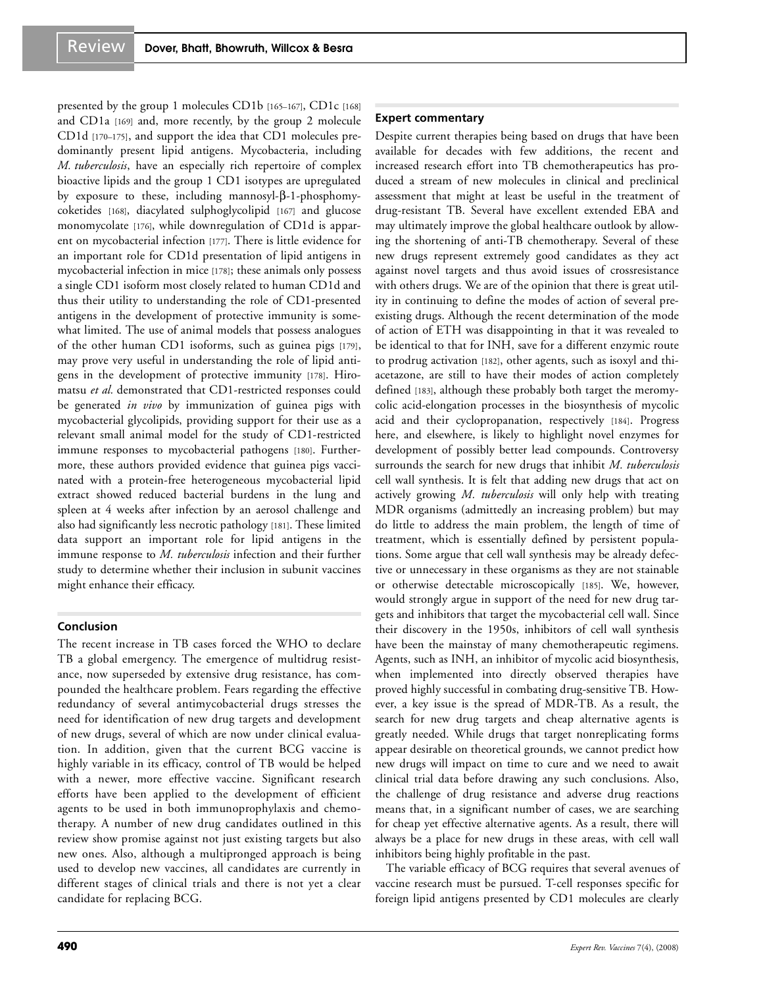presented by the group 1 molecules CD1b [165–167], CD1c [168] and CD1a [169] and, more recently, by the group 2 molecule CD1d [170–175], and support the idea that CD1 molecules predominantly present lipid antigens. Mycobacteria, including *M. tuberculosis*, have an especially rich repertoire of complex bioactive lipids and the group 1 CD1 isotypes are upregulated by exposure to these, including mannosyl-β-1-phosphomycoketides [168], diacylated sulphoglycolipid [167] and glucose monomycolate [176], while downregulation of CD1d is apparent on mycobacterial infection [177]. There is little evidence for an important role for CD1d presentation of lipid antigens in mycobacterial infection in mice [178]; these animals only possess a single CD1 isoform most closely related to human CD1d and thus their utility to understanding the role of CD1-presented antigens in the development of protective immunity is somewhat limited. The use of animal models that possess analogues of the other human CD1 isoforms, such as guinea pigs [179], may prove very useful in understanding the role of lipid antigens in the development of protective immunity [178]. Hiromatsu *et al.* demonstrated that CD1-restricted responses could be generated *in vivo* by immunization of guinea pigs with mycobacterial glycolipids, providing support for their use as a relevant small animal model for the study of CD1-restricted immune responses to mycobacterial pathogens [180]. Furthermore, these authors provided evidence that guinea pigs vaccinated with a protein-free heterogeneous mycobacterial lipid extract showed reduced bacterial burdens in the lung and spleen at 4 weeks after infection by an aerosol challenge and also had significantly less necrotic pathology [181]. These limited data support an important role for lipid antigens in the immune response to *M. tuberculosis* infection and their further study to determine whether their inclusion in subunit vaccines might enhance their efficacy.

#### **Conclusion**

The recent increase in TB cases forced the WHO to declare TB a global emergency. The emergence of multidrug resistance, now superseded by extensive drug resistance, has compounded the healthcare problem. Fears regarding the effective redundancy of several antimycobacterial drugs stresses the need for identification of new drug targets and development of new drugs, several of which are now under clinical evaluation. In addition, given that the current BCG vaccine is highly variable in its efficacy, control of TB would be helped with a newer, more effective vaccine. Significant research efforts have been applied to the development of efficient agents to be used in both immunoprophylaxis and chemotherapy. A number of new drug candidates outlined in this review show promise against not just existing targets but also new ones. Also, although a multipronged approach is being used to develop new vaccines, all candidates are currently in different stages of clinical trials and there is not yet a clear candidate for replacing BCG.

#### **Expert commentary**

Despite current therapies being based on drugs that have been available for decades with few additions, the recent and increased research effort into TB chemotherapeutics has produced a stream of new molecules in clinical and preclinical assessment that might at least be useful in the treatment of drug-resistant TB. Several have excellent extended EBA and may ultimately improve the global healthcare outlook by allowing the shortening of anti-TB chemotherapy. Several of these new drugs represent extremely good candidates as they act against novel targets and thus avoid issues of crossresistance with others drugs. We are of the opinion that there is great utility in continuing to define the modes of action of several preexisting drugs. Although the recent determination of the mode of action of ETH was disappointing in that it was revealed to be identical to that for INH, save for a different enzymic route to prodrug activation [182], other agents, such as isoxyl and thiacetazone, are still to have their modes of action completely defined [183], although these probably both target the meromycolic acid-elongation processes in the biosynthesis of mycolic acid and their cyclopropanation, respectively [184]. Progress here, and elsewhere, is likely to highlight novel enzymes for development of possibly better lead compounds. Controversy surrounds the search for new drugs that inhibit *M. tuberculosis* cell wall synthesis. It is felt that adding new drugs that act on actively growing *M. tuberculosis* will only help with treating MDR organisms (admittedly an increasing problem) but may do little to address the main problem, the length of time of treatment, which is essentially defined by persistent populations. Some argue that cell wall synthesis may be already defective or unnecessary in these organisms as they are not stainable or otherwise detectable microscopically [185]. We, however, would strongly argue in support of the need for new drug targets and inhibitors that target the mycobacterial cell wall. Since their discovery in the 1950s, inhibitors of cell wall synthesis have been the mainstay of many chemotherapeutic regimens. Agents, such as INH, an inhibitor of mycolic acid biosynthesis, when implemented into directly observed therapies have proved highly successful in combating drug-sensitive TB. However, a key issue is the spread of MDR-TB. As a result, the search for new drug targets and cheap alternative agents is greatly needed. While drugs that target nonreplicating forms appear desirable on theoretical grounds, we cannot predict how new drugs will impact on time to cure and we need to await clinical trial data before drawing any such conclusions. Also, the challenge of drug resistance and adverse drug reactions means that, in a significant number of cases, we are searching for cheap yet effective alternative agents. As a result, there will always be a place for new drugs in these areas, with cell wall inhibitors being highly profitable in the past.

The variable efficacy of BCG requires that several avenues of vaccine research must be pursued. T-cell responses specific for foreign lipid antigens presented by CD1 molecules are clearly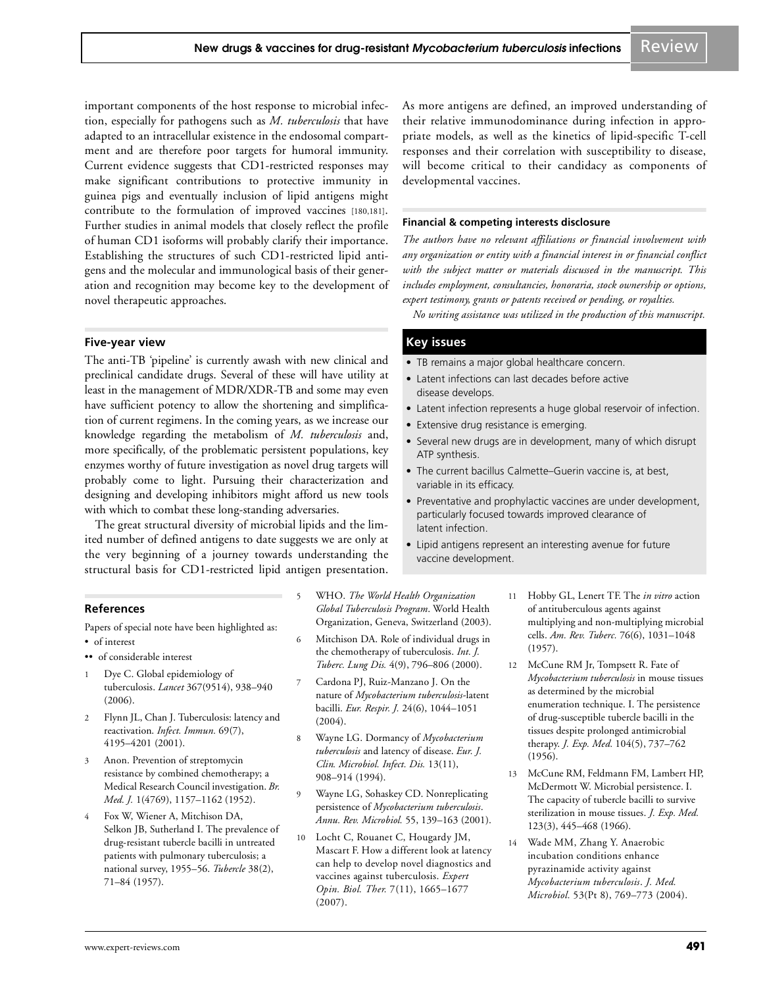important components of the host response to microbial infection, especially for pathogens such as *M. tuberculosis* that have adapted to an intracellular existence in the endosomal compartment and are therefore poor targets for humoral immunity. Current evidence suggests that CD1-restricted responses may make significant contributions to protective immunity in guinea pigs and eventually inclusion of lipid antigens might contribute to the formulation of improved vaccines [180,181]. Further studies in animal models that closely reflect the profile of human CD1 isoforms will probably clarify their importance. Establishing the structures of such CD1-restricted lipid antigens and the molecular and immunological basis of their generation and recognition may become key to the development of novel therapeutic approaches.

#### **Five-year view**

The anti-TB 'pipeline' is currently awash with new clinical and preclinical candidate drugs. Several of these will have utility at least in the management of MDR/XDR-TB and some may even have sufficient potency to allow the shortening and simplification of current regimens. In the coming years, as we increase our knowledge regarding the metabolism of *M. tuberculosis* and, more specifically, of the problematic persistent populations, key enzymes worthy of future investigation as novel drug targets will probably come to light. Pursuing their characterization and designing and developing inhibitors might afford us new tools with which to combat these long-standing adversaries.

The great structural diversity of microbial lipids and the limited number of defined antigens to date suggests we are only at the very beginning of a journey towards understanding the structural basis for CD1-restricted lipid antigen presentation.

#### **References**

Papers of special note have been highlighted as:

- of interest
- •• of considerable interest
- Dye C. Global epidemiology of tuberculosis. *Lancet* 367(9514), 938–940 (2006).
- 2 Flynn JL, Chan J. Tuberculosis: latency and reactivation. *Infect. Immun.* 69(7), 4195–4201 (2001).
- 3 Anon. Prevention of streptomycin resistance by combined chemotherapy; a Medical Research Council investigation. *Br. Med. J.* 1(4769), 1157–1162 (1952).
- 4 Fox W, Wiener A, Mitchison DA, Selkon JB, Sutherland I. The prevalence of drug-resistant tubercle bacilli in untreated patients with pulmonary tuberculosis; a national survey, 1955–56. *Tubercle* 38(2), 71–84 (1957).

As more antigens are defined, an improved understanding of their relative immunodominance during infection in appropriate models, as well as the kinetics of lipid-specific T-cell responses and their correlation with susceptibility to disease, will become critical to their candidacy as components of developmental vaccines.

#### **Financial & competing interests disclosure**

*The authors have no relevant affiliations or financial involvement with any organization or entity with a financial interest in or financial conflict with the subject matter or materials discussed in the manuscript. This includes employment, consultancies, honoraria, stock ownership or options, expert testimony, grants or patents received or pending, or royalties.*

*No writing assistance was utilized in the production of this manuscript.*

#### **Key issues**

- TB remains a major global healthcare concern.
- Latent infections can last decades before active disease develops.
- Latent infection represents a huge global reservoir of infection.
- Extensive drug resistance is emerging.
- Several new drugs are in development, many of which disrupt ATP synthesis.
- The current bacillus Calmette–Guerin vaccine is, at best, variable in its efficacy.
- Preventative and prophylactic vaccines are under development, particularly focused towards improved clearance of latent infection.
- Lipid antigens represent an interesting avenue for future vaccine development.
- 5 WHO. *The World Health Organization Global Tuberculosis Program*. World Health Organization, Geneva, Switzerland (2003).
- 6 Mitchison DA. Role of individual drugs in the chemotherapy of tuberculosis. *Int. J. Tuberc. Lung Dis.* 4(9), 796–806 (2000).
- Cardona PJ, Ruiz-Manzano J. On the nature of *Mycobacterium tuberculosis*-latent bacilli. *Eur. Respir. J.* 24(6), 1044–1051  $(2004).$
- 8 Wayne LG. Dormancy of *Mycobacterium tuberculosis* and latency of disease. *Eur. J. Clin. Microbiol. Infect. Dis.* 13(11), 908–914 (1994).
- 9 Wayne LG, Sohaskey CD. Nonreplicating persistence of *Mycobacterium tuberculosis*. *Annu. Rev. Microbiol.* 55, 139–163 (2001).
- 10 Locht C, Rouanet C, Hougardy JM, Mascart F. How a different look at latency can help to develop novel diagnostics and vaccines against tuberculosis. *Expert Opin. Biol. Ther.* 7(11), 1665–1677 (2007).
- 11 Hobby GL, Lenert TF. The *in vitro* action of antituberculous agents against multiplying and non-multiplying microbial cells. *Am. Rev. Tuberc.* 76(6), 1031–1048 (1957).
- 12 McCune RM Jr, Tompsett R. Fate of *Mycobacterium tuberculosis* in mouse tissues as determined by the microbial enumeration technique. I. The persistence of drug-susceptible tubercle bacilli in the tissues despite prolonged antimicrobial therapy. *J. Exp. Med.* 104(5), 737–762 (1956).
- 13 McCune RM, Feldmann FM, Lambert HP, McDermott W. Microbial persistence. I. The capacity of tubercle bacilli to survive sterilization in mouse tissues. *J. Exp. Med.* 123(3), 445–468 (1966).
- 14 Wade MM, Zhang Y. Anaerobic incubation conditions enhance pyrazinamide activity against *Mycobacterium tuberculosis*. *J. Med. Microbiol.* 53(Pt 8), 769–773 (2004).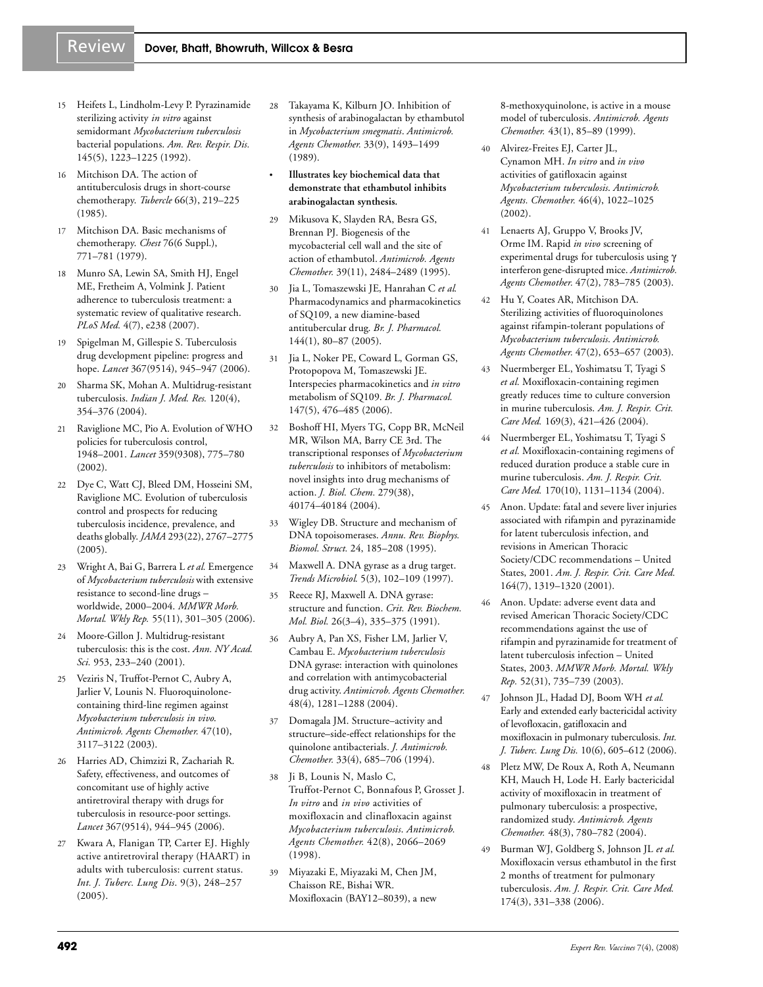# Review Dover, Bhatt, Bhowruth, Willcox & Besra

- 
- 15 Heifets L, Lindholm-Levy P. Pyrazinamide sterilizing activity *in vitro* against semidormant *Mycobacterium tuberculosis* bacterial populations. *Am. Rev. Respir. Dis.* 145(5), 1223–1225 (1992).
- 16 Mitchison DA. The action of antituberculosis drugs in short-course chemotherapy. *Tubercle* 66(3), 219–225 (1985).
- 17 Mitchison DA. Basic mechanisms of chemotherapy. *Chest* 76(6 Suppl.), 771–781 (1979).
- 18 Munro SA, Lewin SA, Smith HJ, Engel ME, Fretheim A, Volmink J. Patient adherence to tuberculosis treatment: a systematic review of qualitative research. *PLoS Med.* 4(7), e238 (2007).
- 19 Spigelman M, Gillespie S. Tuberculosis drug development pipeline: progress and hope. *Lancet* 367(9514), 945–947 (2006).
- 20 Sharma SK, Mohan A. Multidrug-resistant tuberculosis. *Indian J. Med. Res.* 120(4), 354–376 (2004).
- 21 Raviglione MC, Pio A. Evolution of WHO policies for tuberculosis control, 1948–2001. *Lancet* 359(9308), 775–780 (2002).
- 22 Dye C, Watt CJ, Bleed DM, Hosseini SM, Raviglione MC. Evolution of tuberculosis control and prospects for reducing tuberculosis incidence, prevalence, and deaths globally. *JAMA* 293(22), 2767–2775 (2005).
- 23 Wright A, Bai G, Barrera L *et al.* Emergence of *Mycobacterium tuberculosis* with extensive resistance to second-line drugs – worldwide, 2000–2004. *MMWR Morb. Mortal. Wkly Rep.* 55(11), 301–305 (2006).
- 24 Moore-Gillon J. Multidrug-resistant tuberculosis: this is the cost. *Ann. NY Acad. Sci.* 953, 233–240 (2001).
- 25 Veziris N, Truffot-Pernot C, Aubry A, Jarlier V, Lounis N. Fluoroquinolonecontaining third-line regimen against *Mycobacterium tuberculosis in vivo*. *Antimicrob. Agents Chemother.* 47(10), 3117–3122 (2003).
- 26 Harries AD, Chimzizi R, Zachariah R. Safety, effectiveness, and outcomes of concomitant use of highly active antiretroviral therapy with drugs for tuberculosis in resource-poor settings. *Lancet* 367(9514), 944–945 (2006).
- 27 Kwara A, Flanigan TP, Carter EJ. Highly active antiretroviral therapy (HAART) in adults with tuberculosis: current status. *Int. J. Tuberc. Lung Dis*. 9(3), 248–257 (2005).
- 28 Takayama K, Kilburn JO. Inhibition of synthesis of arabinogalactan by ethambutol in *Mycobacterium smegmatis*. *Antimicrob. Agents Chemother.* 33(9), 1493–1499 (1989).
- **Illustrates key biochemical data that demonstrate that ethambutol inhibits arabinogalactan synthesis.**
- 29 Mikusova K, Slayden RA, Besra GS, Brennan PJ. Biogenesis of the mycobacterial cell wall and the site of action of ethambutol. *Antimicrob. Agents Chemother.* 39(11), 2484–2489 (1995).
- 30 Jia L, Tomaszewski JE, Hanrahan C *et al.* Pharmacodynamics and pharmacokinetics of SQ109, a new diamine-based antitubercular drug. *Br. J. Pharmacol.* 144(1), 80–87 (2005).
- 31 Jia L, Noker PE, Coward L, Gorman GS, Protopopova M, Tomaszewski JE. Interspecies pharmacokinetics and *in vitro* metabolism of SQ109. *Br. J. Pharmacol.* 147(5), 476–485 (2006).
- 32 Boshoff HI, Myers TG, Copp BR, McNeil MR, Wilson MA, Barry CE 3rd. The transcriptional responses of *Mycobacterium tuberculosis* to inhibitors of metabolism: novel insights into drug mechanisms of action. *J. Biol. Chem.* 279(38), 40174–40184 (2004).
- 33 Wigley DB. Structure and mechanism of DNA topoisomerases. *Annu. Rev. Biophys. Biomol. Struct.* 24, 185–208 (1995).
- 34 Maxwell A. DNA gyrase as a drug target. *Trends Microbiol.* 5(3), 102–109 (1997).
- 35 Reece RJ, Maxwell A. DNA gyrase: structure and function. *Crit. Rev. Biochem. Mol. Biol.* 26(3–4), 335–375 (1991).
- 36 Aubry A, Pan XS, Fisher LM, Jarlier V, Cambau E. *Mycobacterium tuberculosis* DNA gyrase: interaction with quinolones and correlation with antimycobacterial drug activity. *Antimicrob. Agents Chemother.* 48(4), 1281–1288 (2004).
- 37 Domagala JM. Structure–activity and structure–side-effect relationships for the quinolone antibacterials. *J. Antimicrob. Chemother.* 33(4), 685–706 (1994).
- 38 Ji B, Lounis N, Maslo C, Truffot-Pernot C, Bonnafous P, Grosset J. *In vitro* and *in vivo* activities of moxifloxacin and clinafloxacin against *Mycobacterium tuberculosis*. *Antimicrob. Agents Chemother.* 42(8), 2066–2069 (1998).
- 39 Miyazaki E, Miyazaki M, Chen JM, Chaisson RE, Bishai WR. Moxifloxacin (BAY12–8039), a new

8-methoxyquinolone, is active in a mouse model of tuberculosis. *Antimicrob. Agents Chemother.* 43(1), 85–89 (1999).

- 40 Alvirez-Freites EJ, Carter JL, Cynamon MH. *In vitro* and *in vivo* activities of gatifloxacin against *Mycobacterium tuberculosis*. *Antimicrob. Agents. Chemother.* 46(4), 1022–1025 (2002).
- 41 Lenaerts AJ, Gruppo V, Brooks JV, Orme IM. Rapid *in vivo* screening of experimental drugs for tuberculosis using γ interferon gene-disrupted mice. *Antimicrob. Agents Chemother.* 47(2), 783–785 (2003).
- 42 Hu Y, Coates AR, Mitchison DA. Sterilizing activities of fluoroquinolones against rifampin-tolerant populations of *Mycobacterium tuberculosis*. *Antimicrob. Agents Chemother.* 47(2), 653–657 (2003).
- 43 Nuermberger EL, Yoshimatsu T, Tyagi S *et al.* Moxifloxacin-containing regimen greatly reduces time to culture conversion in murine tuberculosis. *Am. J. Respir. Crit. Care Med.* 169(3), 421–426 (2004).
- 44 Nuermberger EL, Yoshimatsu T, Tyagi S *et al.* Moxifloxacin-containing regimens of reduced duration produce a stable cure in murine tuberculosis. *Am. J. Respir. Crit. Care Med.* 170(10), 1131–1134 (2004).
- 45 Anon. Update: fatal and severe liver injuries associated with rifampin and pyrazinamide for latent tuberculosis infection, and revisions in American Thoracic Society/CDC recommendations – United States, 2001. *Am. J. Respir. Crit. Care Med.* 164(7), 1319–1320 (2001).
- 46 Anon. Update: adverse event data and revised American Thoracic Society/CDC recommendations against the use of rifampin and pyrazinamide for treatment of latent tuberculosis infection – United States, 2003. *MMWR Morb. Mortal. Wkly Rep.* 52(31), 735–739 (2003).
- 47 Johnson JL, Hadad DJ, Boom WH *et al.* Early and extended early bactericidal activity of levofloxacin, gatifloxacin and moxifloxacin in pulmonary tuberculosis. *Int. J. Tuberc. Lung Dis.* 10(6), 605–612 (2006).
- 48 Pletz MW, De Roux A, Roth A, Neumann KH, Mauch H, Lode H. Early bactericidal activity of moxifloxacin in treatment of pulmonary tuberculosis: a prospective, randomized study. *Antimicrob. Agents Chemother.* 48(3), 780–782 (2004).
- 49 Burman WJ, Goldberg S, Johnson JL *et al.* Moxifloxacin versus ethambutol in the first 2 months of treatment for pulmonary tuberculosis. *Am. J. Respir. Crit. Care Med.* 174(3), 331–338 (2006).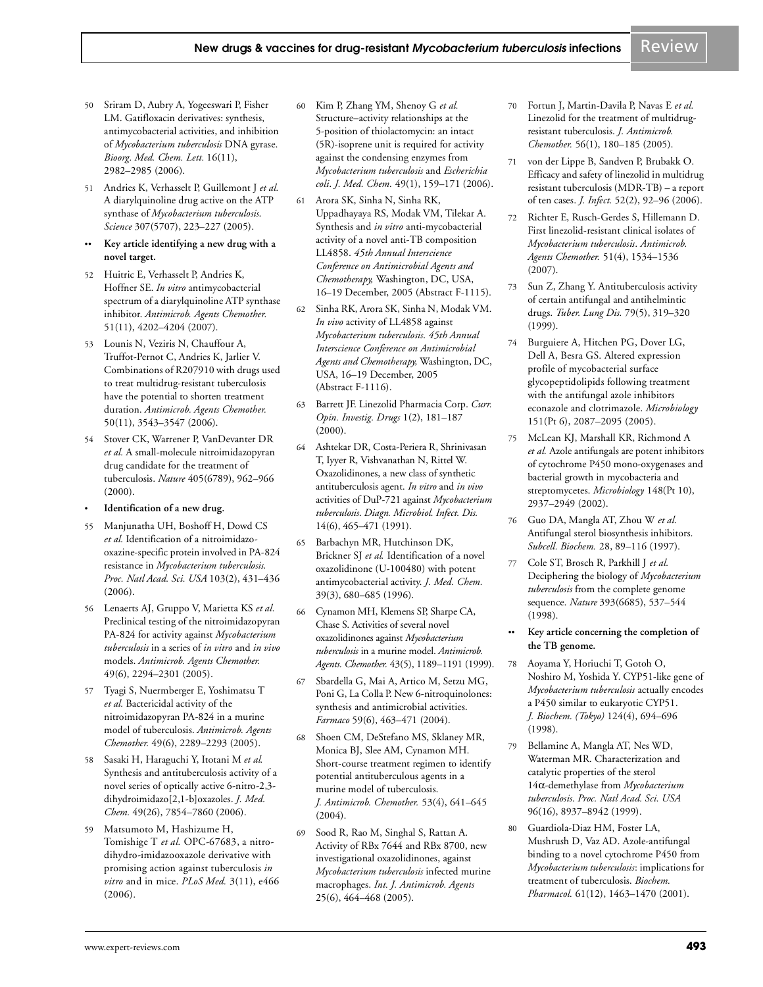- 50 Sriram D, Aubry A, Yogeeswari P, Fisher LM. Gatifloxacin derivatives: synthesis, antimycobacterial activities, and inhibition of *Mycobacterium tuberculosis* DNA gyrase. *Bioorg. Med. Chem. Lett.* 16(11), 2982–2985 (2006).
- 51 Andries K, Verhasselt P, Guillemont J *et al.* A diarylquinoline drug active on the ATP synthase of *Mycobacterium tuberculosis*. *Science* 307(5707), 223–227 (2005).
- Key article identifying a new drug with a **novel target.**
- 52 Huitric E, Verhasselt P, Andries K, Hoffner SE. *In vitro* antimycobacterial spectrum of a diarylquinoline ATP synthase inhibitor. *Antimicrob. Agents Chemother.* 51(11), 4202–4204 (2007).
- 53 Lounis N, Veziris N, Chauffour A, Truffot-Pernot C, Andries K, Jarlier V. Combinations of R207910 with drugs used to treat multidrug-resistant tuberculosis have the potential to shorten treatment duration. *Antimicrob. Agents Chemother.* 50(11), 3543–3547 (2006).
- 54 Stover CK, Warrener P, VanDevanter DR *et al.* A small-molecule nitroimidazopyran drug candidate for the treatment of tuberculosis. *Nature* 405(6789), 962–966 (2000).
- **Identification of a new drug.**
- 55 Manjunatha UH, Boshoff H, Dowd CS *et al.* Identification of a nitroimidazooxazine-specific protein involved in PA-824 resistance in *Mycobacterium tuberculosis*. *Proc. Natl Acad. Sci. USA* 103(2), 431–436 (2006).
- 56 Lenaerts AJ, Gruppo V, Marietta KS *et al.* Preclinical testing of the nitroimidazopyran PA-824 for activity against *Mycobacterium tuberculosis* in a series of *in vitro* and *in vivo* models. *Antimicrob. Agents Chemother.* 49(6), 2294–2301 (2005).
- 57 Tyagi S, Nuermberger E, Yoshimatsu T *et al.* Bactericidal activity of the nitroimidazopyran PA-824 in a murine model of tuberculosis. *Antimicrob. Agents Chemother.* 49(6), 2289–2293 (2005).
- 58 Sasaki H, Haraguchi Y, Itotani M *et al.* Synthesis and antituberculosis activity of a novel series of optically active 6-nitro-2,3 dihydroimidazo[2,1-b]oxazoles. *J. Med. Chem.* 49(26), 7854–7860 (2006).
- 59 Matsumoto M, Hashizume H, Tomishige T *et al.* OPC-67683, a nitrodihydro-imidazooxazole derivative with promising action against tuberculosis *in vitro* and in mice. *PLoS Med.* 3(11), e466 (2006).
- 60 Kim P, Zhang YM, Shenoy G *et al.* Structure–activity relationships at the 5-position of thiolactomycin: an intact (5R)-isoprene unit is required for activity against the condensing enzymes from *Mycobacterium tuberculosis* and *Escherichia coli*. *J. Med. Chem.* 49(1), 159–171 (2006).
- 61 Arora SK, Sinha N, Sinha RK, Uppadhayaya RS, Modak VM, Tilekar A. Synthesis and *in vitro* anti-mycobacterial activity of a novel anti-TB composition LL4858. *45th Annual Interscience Conference on Antimicrobial Agents and Chemotherapy,* Washington, DC, USA, 16–19 December, 2005 (Abstract F-1115).
- 62 Sinha RK, Arora SK, Sinha N, Modak VM. *In vivo* activity of LL4858 against *Mycobacterium tuberculosis*. *45th Annual Interscience Conference on Antimicrobial Agents and Chemotherapy,* Washington, DC, USA, 16–19 December, 2005 (Abstract F-1116).
- 63 Barrett JF. Linezolid Pharmacia Corp. *Curr. Opin. Investig. Drugs* 1(2), 181–187 (2000).
- 64 Ashtekar DR, Costa-Periera R, Shrinivasan T, Iyyer R, Vishvanathan N, Rittel W. Oxazolidinones, a new class of synthetic antituberculosis agent. *In vitro* and *in vivo* activities of DuP-721 against *Mycobacterium tuberculosis*. *Diagn. Microbiol. Infect. Dis.* 14(6), 465–471 (1991).
- 65 Barbachyn MR, Hutchinson DK, Brickner SJ *et al.* Identification of a novel oxazolidinone (U-100480) with potent antimycobacterial activity. *J. Med. Chem.* 39(3), 680–685 (1996).
- 66 Cynamon MH, Klemens SP, Sharpe CA, Chase S. Activities of several novel oxazolidinones against *Mycobacterium tuberculosis* in a murine model. *Antimicrob. Agents. Chemother.* 43(5), 1189–1191 (1999).
- 67 Sbardella G, Mai A, Artico M, Setzu MG, Poni G, La Colla P. New 6-nitroquinolones: synthesis and antimicrobial activities. *Farmaco* 59(6), 463–471 (2004).
- 68 Shoen CM, DeStefano MS, Sklaney MR, Monica BJ, Slee AM, Cynamon MH. Short-course treatment regimen to identify potential antituberculous agents in a murine model of tuberculosis. *J. Antimicrob. Chemother.* 53(4), 641–645 (2004).
- 69 Sood R, Rao M, Singhal S, Rattan A. Activity of RBx 7644 and RBx 8700, new investigational oxazolidinones, against *Mycobacterium tuberculosis* infected murine macrophages. *Int. J. Antimicrob. Agents* 25(6), 464–468 (2005).
- 70 Fortun J, Martin-Davila P, Navas E *et al.* Linezolid for the treatment of multidrugresistant tuberculosis. *J. Antimicrob. Chemother.* 56(1), 180–185 (2005).
- 71 von der Lippe B, Sandven P, Brubakk O. Efficacy and safety of linezolid in multidrug resistant tuberculosis (MDR-TB) – a report of ten cases. *J. Infect.* 52(2), 92–96 (2006).
- 72 Richter E, Rusch-Gerdes S, Hillemann D. First linezolid-resistant clinical isolates of *Mycobacterium tuberculosis*. *Antimicrob. Agents Chemother.* 51(4), 1534–1536 (2007).
- 73 Sun Z, Zhang Y. Antituberculosis activity of certain antifungal and antihelmintic drugs. *Tuber. Lung Dis.* 79(5), 319–320 (1999).
- 74 Burguiere A, Hitchen PG, Dover LG, Dell A, Besra GS. Altered expression profile of mycobacterial surface glycopeptidolipids following treatment with the antifungal azole inhibitors econazole and clotrimazole. *Microbiology* 151(Pt 6), 2087–2095 (2005).
- 75 McLean KJ, Marshall KR, Richmond A *et al.* Azole antifungals are potent inhibitors of cytochrome P450 mono-oxygenases and bacterial growth in mycobacteria and streptomycetes. *Microbiology* 148(Pt 10), 2937–2949 (2002).
- 76 Guo DA, Mangla AT, Zhou W *et al.* Antifungal sterol biosynthesis inhibitors. *Subcell. Biochem.* 28, 89–116 (1997).
- 77 Cole ST, Brosch R, Parkhill J *et al.* Deciphering the biology of *Mycobacterium tuberculosis* from the complete genome sequence. *Nature* 393(6685), 537–544 (1998).
- Key article concerning the completion of **the TB genome.**
- 78 Aoyama Y, Horiuchi T, Gotoh O, Noshiro M, Yoshida Y. CYP51-like gene of *Mycobacterium tuberculosis* actually encodes a P450 similar to eukaryotic CYP51. *J. Biochem. (Tokyo)* 124(4), 694–696 (1998).
- Bellamine A, Mangla AT, Nes WD, Waterman MR. Characterization and catalytic properties of the sterol 14α-demethylase from *Mycobacterium tuberculosis*. *Proc. Natl Acad. Sci. USA* 96(16), 8937–8942 (1999).
- 80 Guardiola-Diaz HM, Foster LA, Mushrush D, Vaz AD. Azole-antifungal binding to a novel cytochrome P450 from *Mycobacterium tuberculosis*: implications for treatment of tuberculosis. *Biochem. Pharmacol.* 61(12), 1463–1470 (2001).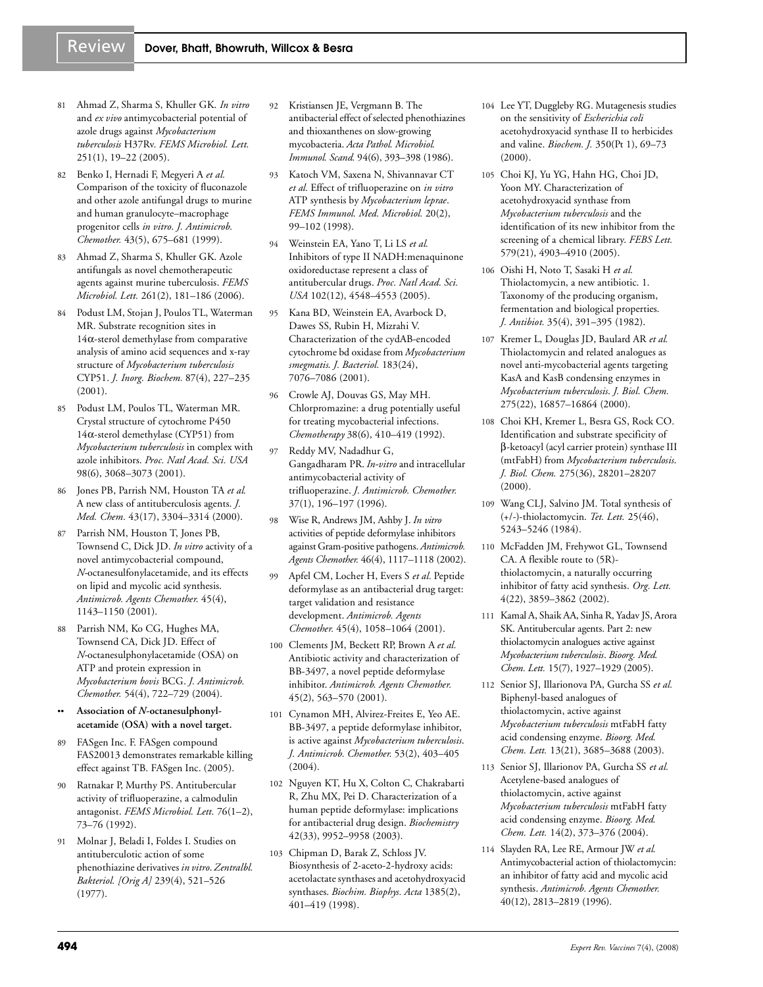- 
- 81 Ahmad Z, Sharma S, Khuller GK. *In vitro* and *ex vivo* antimycobacterial potential of azole drugs against *Mycobacterium tuberculosis* H37Rv. *FEMS Microbiol. Lett.* 251(1), 19–22 (2005).
- 82 Benko I, Hernadi F, Megyeri A *et al.* Comparison of the toxicity of fluconazole and other azole antifungal drugs to murine and human granulocyte–macrophage progenitor cells *in vitro*. *J. Antimicrob. Chemother.* 43(5), 675–681 (1999).
- 83 Ahmad Z, Sharma S, Khuller GK. Azole antifungals as novel chemotherapeutic agents against murine tuberculosis. *FEMS Microbiol. Lett.* 261(2), 181–186 (2006).
- 84 Podust LM, Stojan J, Poulos TL, Waterman MR. Substrate recognition sites in 14α-sterol demethylase from comparative analysis of amino acid sequences and x-ray structure of *Mycobacterium tuberculosis* CYP51. *J. Inorg. Biochem.* 87(4), 227–235 (2001).
- 85 Podust LM, Poulos TL, Waterman MR. Crystal structure of cytochrome P450 14α-sterol demethylase (CYP51) from *Mycobacterium tuberculosis* in complex with azole inhibitors. *Proc. Natl Acad. Sci. USA* 98(6), 3068–3073 (2001).
- 86 Jones PB, Parrish NM, Houston TA *et al.* A new class of antituberculosis agents. *J. Med. Chem.* 43(17), 3304–3314 (2000).
- 87 Parrish NM, Houston T, Jones PB, Townsend C, Dick JD. *In vitro* activity of a novel antimycobacterial compound, *N*-octanesulfonylacetamide, and its effects on lipid and mycolic acid synthesis. *Antimicrob. Agents Chemother.* 45(4), 1143–1150 (2001).
- 88 Parrish NM, Ko CG, Hughes MA, Townsend CA, Dick JD. Effect of *N*-octanesulphonylacetamide (OSA) on ATP and protein expression in *Mycobacterium bovis* BCG. *J. Antimicrob. Chemother.* 54(4), 722–729 (2004).
- Association of N-octanesulphonyl**acetamide (OSA) with a novel target.**
- FASgen Inc. F. FASgen compound FAS20013 demonstrates remarkable killing effect against TB. FASgen Inc. (2005).
- Ratnakar P, Murthy PS. Antitubercular activity of trifluoperazine, a calmodulin antagonist. *FEMS Microbiol. Lett.* 76(1–2), 73–76 (1992).
- Molnar J, Beladi I, Foldes I. Studies on antituberculotic action of some phenothiazine derivatives *in vitro*. *Zentralbl. Bakteriol. [Orig A]* 239(4), 521–526 (1977).
- 92 Kristiansen JE, Vergmann B. The antibacterial effect of selected phenothiazines and thioxanthenes on slow-growing mycobacteria. *Acta Pathol. Microbiol. Immunol. Scand.* 94(6), 393–398 (1986).
- 93 Katoch VM, Saxena N, Shivannavar CT *et al.* Effect of trifluoperazine on *in vitro* ATP synthesis by *Mycobacterium leprae*. *FEMS Immunol. Med. Microbiol.* 20(2), 99–102 (1998).
- 94 Weinstein EA, Yano T, Li LS *et al.* Inhibitors of type II NADH:menaquinone oxidoreductase represent a class of antitubercular drugs. *Proc. Natl Acad. Sci. USA* 102(12), 4548–4553 (2005).
- 95 Kana BD, Weinstein EA, Avarbock D, Dawes SS, Rubin H, Mizrahi V. Characterization of the cydAB-encoded cytochrome bd oxidase from *Mycobacterium smegmatis*. *J. Bacteriol.* 183(24), 7076–7086 (2001).
- 96 Crowle AJ, Douvas GS, May MH. Chlorpromazine: a drug potentially useful for treating mycobacterial infections. *Chemotherapy* 38(6), 410–419 (1992).
- 97 Reddy MV, Nadadhur G, Gangadharam PR. *In-vitro* and intracellular antimycobacterial activity of trifluoperazine. *J. Antimicrob. Chemother.* 37(1), 196–197 (1996).
- 98 Wise R, Andrews JM, Ashby J. *In vitro* activities of peptide deformylase inhibitors against Gram-positive pathogens. *Antimicrob. Agents Chemother.* 46(4), 1117–1118 (2002).
- 99 Apfel CM, Locher H, Evers S *et al.* Peptide deformylase as an antibacterial drug target: target validation and resistance development. *Antimicrob. Agents Chemother.* 45(4), 1058–1064 (2001).
- 100 Clements JM, Beckett RP, Brown A *et al.* Antibiotic activity and characterization of BB-3497, a novel peptide deformylase inhibitor. *Antimicrob. Agents Chemother.* 45(2), 563–570 (2001).
- 101 Cynamon MH, Alvirez-Freites E, Yeo AE. BB-3497, a peptide deformylase inhibitor, is active against *Mycobacterium tuberculosis*. *J. Antimicrob. Chemother.* 53(2), 403–405 (2004).
- 102 Nguyen KT, Hu X, Colton C, Chakrabarti R, Zhu MX, Pei D. Characterization of a human peptide deformylase: implications for antibacterial drug design. *Biochemistry* 42(33), 9952–9958 (2003).
- 103 Chipman D, Barak Z, Schloss JV. Biosynthesis of 2-aceto-2-hydroxy acids: acetolactate synthases and acetohydroxyacid synthases. *Biochim. Biophys. Acta* 1385(2), 401–419 (1998).
- 104 Lee YT, Duggleby RG. Mutagenesis studies on the sensitivity of *Escherichia coli* acetohydroxyacid synthase II to herbicides and valine. *Biochem. J.* 350(Pt 1), 69–73 (2000).
- 105 Choi KJ, Yu YG, Hahn HG, Choi JD, Yoon MY. Characterization of acetohydroxyacid synthase from *Mycobacterium tuberculosis* and the identification of its new inhibitor from the screening of a chemical library. *FEBS Lett.* 579(21), 4903–4910 (2005).
- 106 Oishi H, Noto T, Sasaki H *et al.* Thiolactomycin, a new antibiotic. 1. Taxonomy of the producing organism, fermentation and biological properties. *J. Antibiot.* 35(4), 391–395 (1982).
- 107 Kremer L, Douglas JD, Baulard AR *et al.* Thiolactomycin and related analogues as novel anti-mycobacterial agents targeting KasA and KasB condensing enzymes in *Mycobacterium tuberculosis*. *J. Biol. Chem.* 275(22), 16857–16864 (2000).
- 108 Choi KH, Kremer L, Besra GS, Rock CO. Identification and substrate specificity of β-ketoacyl (acyl carrier protein) synthase III (mtFabH) from *Mycobacterium tuberculosis*. *J. Biol. Chem.* 275(36), 28201–28207  $(2000).$
- 109 Wang CLJ, Salvino JM. Total synthesis of (+/-)-thiolactomycin. *Tet. Lett.* 25(46), 5243–5246 (1984).
- 110 McFadden JM, Frehywot GL, Townsend CA. A flexible route to (5R) thiolactomycin, a naturally occurring inhibitor of fatty acid synthesis. *Org. Lett.* 4(22), 3859–3862 (2002).
- 111 Kamal A, Shaik AA, Sinha R, Yadav JS, Arora SK. Antitubercular agents. Part 2: new thiolactomycin analogues active against *Mycobacterium tuberculosis*. *Bioorg. Med. Chem. Lett.* 15(7), 1927–1929 (2005).
- 112 Senior SJ, Illarionova PA, Gurcha SS *et al.* Biphenyl-based analogues of thiolactomycin, active against *Mycobacterium tuberculosis* mtFabH fatty acid condensing enzyme. *Bioorg. Med. Chem. Lett.* 13(21), 3685–3688 (2003).
- 113 Senior SJ, Illarionov PA, Gurcha SS *et al.* Acetylene-based analogues of thiolactomycin, active against *Mycobacterium tuberculosis* mtFabH fatty acid condensing enzyme. *Bioorg. Med. Chem. Lett.* 14(2), 373–376 (2004).
- 114 Slayden RA, Lee RE, Armour JW *et al.* Antimycobacterial action of thiolactomycin: an inhibitor of fatty acid and mycolic acid synthesis. *Antimicrob. Agents Chemother.* 40(12), 2813–2819 (1996).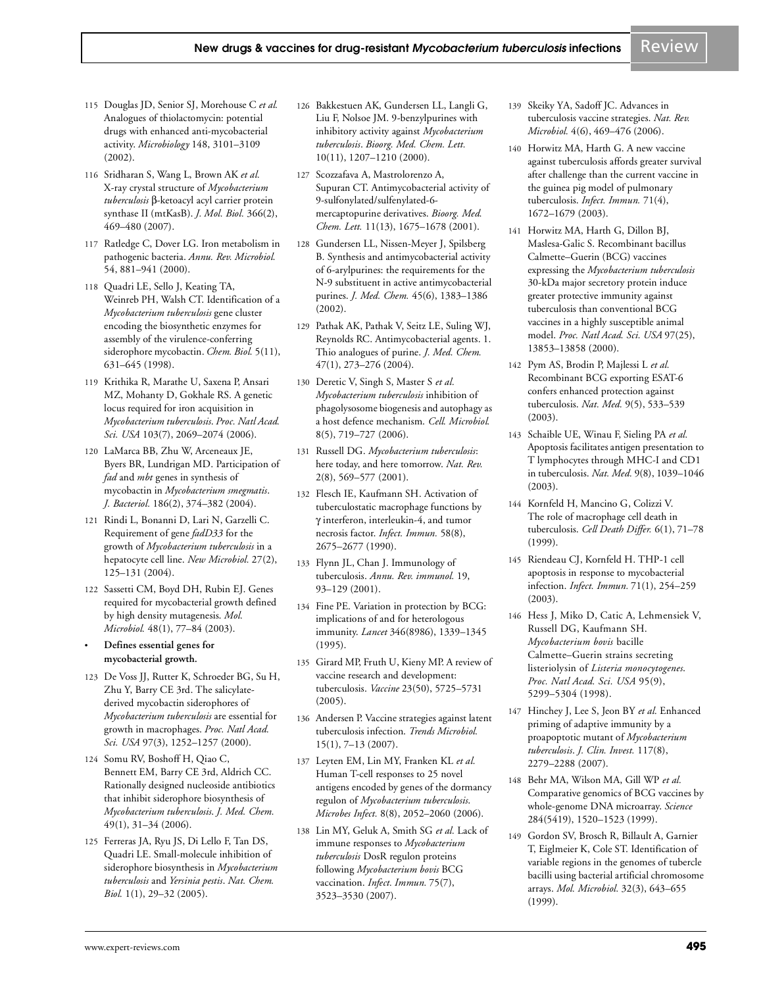- 115 Douglas JD, Senior SJ, Morehouse C *et al.* Analogues of thiolactomycin: potential drugs with enhanced anti-mycobacterial activity. *Microbiology* 148, 3101–3109 (2002).
- 116 Sridharan S, Wang L, Brown AK *et al.* X-ray crystal structure of *Mycobacterium tuberculosis* β-ketoacyl acyl carrier protein synthase II (mtKasB). *J. Mol. Biol.* 366(2), 469–480 (2007).
- 117 Ratledge C, Dover LG. Iron metabolism in pathogenic bacteria. *Annu. Rev. Microbiol.* 54, 881–941 (2000).
- 118 Quadri LE, Sello J, Keating TA, Weinreb PH, Walsh CT. Identification of a *Mycobacterium tuberculosis* gene cluster encoding the biosynthetic enzymes for assembly of the virulence-conferring siderophore mycobactin. *Chem. Biol.* 5(11), 631–645 (1998).
- 119 Krithika R, Marathe U, Saxena P, Ansari MZ, Mohanty D, Gokhale RS. A genetic locus required for iron acquisition in *Mycobacterium tuberculosis*. *Proc. Natl Acad. Sci. USA* 103(7), 2069–2074 (2006).
- 120 LaMarca BB, Zhu W, Arceneaux JE, Byers BR, Lundrigan MD. Participation of *fad* and *mbt* genes in synthesis of mycobactin in *Mycobacterium smegmatis*. *J. Bacteriol.* 186(2), 374–382 (2004).
- 121 Rindi L, Bonanni D, Lari N, Garzelli C. Requirement of gene *fadD33* for the growth of *Mycobacterium tuberculosis* in a hepatocyte cell line. *New Microbiol.* 27(2), 125–131 (2004).
- 122 Sassetti CM, Boyd DH, Rubin EJ. Genes required for mycobacterial growth defined by high density mutagenesis. *Mol. Microbiol.* 48(1), 77–84 (2003).
- **Defines essential genes for mycobacterial growth.**
- 123 De Voss JJ, Rutter K, Schroeder BG, Su H, Zhu Y, Barry CE 3rd. The salicylatederived mycobactin siderophores of *Mycobacterium tuberculosis* are essential for growth in macrophages. *Proc. Natl Acad. Sci. USA* 97(3), 1252–1257 (2000).
- 124 Somu RV, Boshoff H, Qiao C, Bennett EM, Barry CE 3rd, Aldrich CC. Rationally designed nucleoside antibiotics that inhibit siderophore biosynthesis of *Mycobacterium tuberculosis*. *J. Med. Chem.* 49(1), 31–34 (2006).
- 125 Ferreras JA, Ryu JS, Di Lello F, Tan DS, Quadri LE. Small-molecule inhibition of siderophore biosynthesis in *Mycobacterium tuberculosis* and *Yersinia pestis*. *Nat. Chem. Biol.* 1(1), 29–32 (2005).
- 126 Bakkestuen AK, Gundersen LL, Langli G, Liu F, Nolsoe JM. 9-benzylpurines with inhibitory activity against *Mycobacterium tuberculosis*. *Bioorg. Med. Chem. Lett.* 10(11), 1207–1210 (2000).
- 127 Scozzafava A, Mastrolorenzo A, Supuran CT. Antimycobacterial activity of 9-sulfonylated/sulfenylated-6 mercaptopurine derivatives. *Bioorg. Med. Chem. Lett.* 11(13), 1675–1678 (2001).
- 128 Gundersen LL, Nissen-Meyer J, Spilsberg B. Synthesis and antimycobacterial activity of 6-arylpurines: the requirements for the N-9 substituent in active antimycobacterial purines. *J. Med. Chem.* 45(6), 1383–1386 (2002).
- 129 Pathak AK, Pathak V, Seitz LE, Suling WJ, Reynolds RC. Antimycobacterial agents. 1. Thio analogues of purine. *J. Med. Chem.* 47(1), 273–276 (2004).
- 130 Deretic V, Singh S, Master S *et al. Mycobacterium tuberculosis* inhibition of phagolysosome biogenesis and autophagy as a host defence mechanism. *Cell. Microbiol.* 8(5), 719–727 (2006).
- 131 Russell DG. *Mycobacterium tuberculosis*: here today, and here tomorrow. *Nat. Rev.* 2(8), 569–577 (2001).
- 132 Flesch IE, Kaufmann SH. Activation of tuberculostatic macrophage functions by γ interferon, interleukin-4, and tumor necrosis factor. *Infect. Immun.* 58(8), 2675–2677 (1990).
- 133 Flynn JL, Chan J. Immunology of tuberculosis. *Annu. Rev. immunol.* 19, 93–129 (2001).
- 134 Fine PE. Variation in protection by BCG: implications of and for heterologous immunity. *Lancet* 346(8986), 1339–1345 (1995).
- 135 Girard MP, Fruth U, Kieny MP. A review of vaccine research and development: tuberculosis. *Vaccine* 23(50), 5725–5731 (2005).
- 136 Andersen P. Vaccine strategies against latent tuberculosis infection. *Trends Microbiol.* 15(1), 7–13 (2007).
- 137 Leyten EM, Lin MY, Franken KL *et al.* Human T-cell responses to 25 novel antigens encoded by genes of the dormancy regulon of *Mycobacterium tuberculosis*. *Microbes Infect.* 8(8), 2052–2060 (2006).
- 138 Lin MY, Geluk A, Smith SG *et al.* Lack of immune responses to *Mycobacterium tuberculosis* DosR regulon proteins following *Mycobacterium bovis* BCG vaccination. *Infect. Immun.* 75(7), 3523–3530 (2007).
- 139 Skeiky YA, Sadoff JC. Advances in tuberculosis vaccine strategies. *Nat. Rev. Microbiol.* 4(6), 469–476 (2006).
- 140 Horwitz MA, Harth G. A new vaccine against tuberculosis affords greater survival after challenge than the current vaccine in the guinea pig model of pulmonary tuberculosis. *Infect. Immun.* 71(4), 1672–1679 (2003).
- 141 Horwitz MA, Harth G, Dillon BJ, Maslesa-Galic S. Recombinant bacillus Calmette–Guerin (BCG) vaccines expressing the *Mycobacterium tuberculosis* 30-kDa major secretory protein induce greater protective immunity against tuberculosis than conventional BCG vaccines in a highly susceptible animal model. *Proc. Natl Acad. Sci. USA* 97(25), 13853–13858 (2000).
- 142 Pym AS, Brodin P, Majlessi L *et al.* Recombinant BCG exporting ESAT-6 confers enhanced protection against tuberculosis. *Nat. Med.* 9(5), 533–539 (2003).
- 143 Schaible UE, Winau F, Sieling PA *et al.* Apoptosis facilitates antigen presentation to T lymphocytes through MHC-I and CD1 in tuberculosis. *Nat. Med.* 9(8), 1039–1046 (2003).
- 144 Kornfeld H, Mancino G, Colizzi V. The role of macrophage cell death in tuberculosis. *Cell Death Differ.* 6(1), 71–78 (1999).
- 145 Riendeau CJ, Kornfeld H. THP-1 cell apoptosis in response to mycobacterial infection. *Infect. Immun.* 71(1), 254–259 (2003).
- 146 Hess J, Miko D, Catic A, Lehmensiek V, Russell DG, Kaufmann SH. *Mycobacterium bovis* bacille Calmette–Guerin strains secreting listeriolysin of *Listeria monocytogenes*. *Proc. Natl Acad. Sci. USA* 95(9), 5299–5304 (1998).
- 147 Hinchey J, Lee S, Jeon BY *et al.* Enhanced priming of adaptive immunity by a proapoptotic mutant of *Mycobacterium tuberculosis*. *J. Clin. Invest.* 117(8), 2279–2288 (2007).
- 148 Behr MA, Wilson MA, Gill WP *et al.* Comparative genomics of BCG vaccines by whole-genome DNA microarray. *Science* 284(5419), 1520–1523 (1999).
- 149 Gordon SV, Brosch R, Billault A, Garnier T, Eiglmeier K, Cole ST. Identification of variable regions in the genomes of tubercle bacilli using bacterial artificial chromosome arrays. *Mol. Microbiol.* 32(3), 643–655 (1999).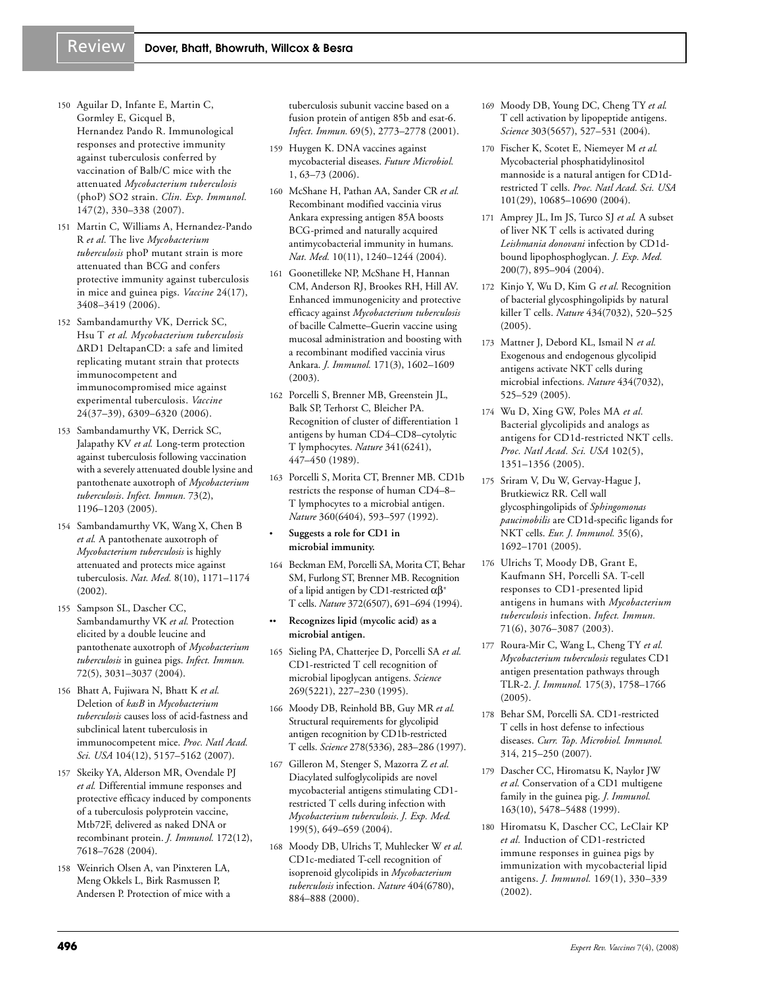- 150 Aguilar D, Infante E, Martin C, Gormley E, Gicquel B, Hernandez Pando R. Immunological responses and protective immunity against tuberculosis conferred by vaccination of Balb/C mice with the attenuated *Mycobacterium tuberculosis* (phoP) SO2 strain. *Clin. Exp. Immunol.* 147(2), 330–338 (2007).
- 151 Martin C, Williams A, Hernandez-Pando R *et al.* The live *Mycobacterium tuberculosis* phoP mutant strain is more attenuated than BCG and confers protective immunity against tuberculosis in mice and guinea pigs. *Vaccine* 24(17), 3408–3419 (2006).
- 152 Sambandamurthy VK, Derrick SC, Hsu T *et al. Mycobacterium tuberculosis* ∆RD1 DeltapanCD: a safe and limited replicating mutant strain that protects immunocompetent and immunocompromised mice against experimental tuberculosis. *Vaccine* 24(37–39), 6309–6320 (2006).
- 153 Sambandamurthy VK, Derrick SC, Jalapathy KV *et al.* Long-term protection against tuberculosis following vaccination with a severely attenuated double lysine and pantothenate auxotroph of *Mycobacterium tuberculosis*. *Infect. Immun.* 73(2), 1196–1203 (2005).
- 154 Sambandamurthy VK, Wang X, Chen B *et al.* A pantothenate auxotroph of *Mycobacterium tuberculosis* is highly attenuated and protects mice against tuberculosis. *Nat. Med.* 8(10), 1171–1174 (2002).
- 155 Sampson SL, Dascher CC, Sambandamurthy VK *et al.* Protection elicited by a double leucine and pantothenate auxotroph of *Mycobacterium tuberculosis* in guinea pigs. *Infect. Immun.* 72(5), 3031–3037 (2004).
- 156 Bhatt A, Fujiwara N, Bhatt K *et al.* Deletion of *kasB* in *Mycobacterium tuberculosis* causes loss of acid-fastness and subclinical latent tuberculosis in immunocompetent mice. *Proc. Natl Acad. Sci. USA* 104(12), 5157–5162 (2007).
- 157 Skeiky YA, Alderson MR, Ovendale PJ *et al.* Differential immune responses and protective efficacy induced by components of a tuberculosis polyprotein vaccine, Mtb72F, delivered as naked DNA or recombinant protein. *J. Immunol.* 172(12), 7618–7628 (2004).
- 158 Weinrich Olsen A, van Pinxteren LA, Meng Okkels L, Birk Rasmussen P, Andersen P. Protection of mice with a

tuberculosis subunit vaccine based on a fusion protein of antigen 85b and esat-6. *Infect. Immun.* 69(5), 2773–2778 (2001).

- 159 Huygen K. DNA vaccines against mycobacterial diseases. *Future Microbiol.* 1, 63–73 (2006).
- 160 McShane H, Pathan AA, Sander CR *et al.* Recombinant modified vaccinia virus Ankara expressing antigen 85A boosts BCG-primed and naturally acquired antimycobacterial immunity in humans. *Nat. Med.* 10(11), 1240–1244 (2004).
- 161 Goonetilleke NP, McShane H, Hannan CM, Anderson RJ, Brookes RH, Hill AV. Enhanced immunogenicity and protective efficacy against *Mycobacterium tuberculosis* of bacille Calmette–Guerin vaccine using mucosal administration and boosting with a recombinant modified vaccinia virus Ankara. *J. Immunol.* 171(3), 1602–1609 (2003).
- 162 Porcelli S, Brenner MB, Greenstein JL, Balk SP, Terhorst C, Bleicher PA. Recognition of cluster of differentiation 1 antigens by human CD4–CD8–cytolytic T lymphocytes. *Nature* 341(6241), 447–450 (1989).
- 163 Porcelli S, Morita CT, Brenner MB. CD1b restricts the response of human CD4–8– T lymphocytes to a microbial antigen. *Nature* 360(6404), 593–597 (1992).

#### • **Suggests a role for CD1 in microbial immunity.**

- 164 Beckman EM, Porcelli SA, Morita CT, Behar SM, Furlong ST, Brenner MB. Recognition of a lipid antigen by CD1-restricted  $\alpha\beta^+$ T cells. *Nature* 372(6507), 691–694 (1994).
- •• **Recognizes lipid (mycolic acid) as a microbial antigen.**
- 165 Sieling PA, Chatterjee D, Porcelli SA *et al.* CD1-restricted T cell recognition of microbial lipoglycan antigens. *Science* 269(5221), 227–230 (1995).
- 166 Moody DB, Reinhold BB, Guy MR *et al.* Structural requirements for glycolipid antigen recognition by CD1b-restricted T cells. *Science* 278(5336), 283–286 (1997).
- 167 Gilleron M, Stenger S, Mazorra Z *et al.* Diacylated sulfoglycolipids are novel mycobacterial antigens stimulating CD1 restricted T cells during infection with *Mycobacterium tuberculosis*. *J. Exp. Med.* 199(5), 649–659 (2004).
- 168 Moody DB, Ulrichs T, Muhlecker W *et al.* CD1c-mediated T-cell recognition of isoprenoid glycolipids in *Mycobacterium tuberculosis* infection. *Nature* 404(6780), 884–888 (2000).
- 169 Moody DB, Young DC, Cheng TY *et al.* T cell activation by lipopeptide antigens. *Science* 303(5657), 527–531 (2004).
- 170 Fischer K, Scotet E, Niemeyer M *et al.* Mycobacterial phosphatidylinositol mannoside is a natural antigen for CD1drestricted T cells. *Proc. Natl Acad. Sci. USA* 101(29), 10685–10690 (2004).
- 171 Amprey JL, Im JS, Turco SJ *et al.* A subset of liver NK T cells is activated during *Leishmania donovani* infection by CD1dbound lipophosphoglycan. *J. Exp. Med.* 200(7), 895–904 (2004).
- 172 Kinjo Y, Wu D, Kim G *et al.* Recognition of bacterial glycosphingolipids by natural killer T cells. *Nature* 434(7032), 520–525 (2005).
- 173 Mattner J, Debord KL, Ismail N *et al.* Exogenous and endogenous glycolipid antigens activate NKT cells during microbial infections. *Nature* 434(7032), 525–529 (2005).
- 174 Wu D, Xing GW, Poles MA *et al.* Bacterial glycolipids and analogs as antigens for CD1d-restricted NKT cells. *Proc. Natl Acad. Sci. USA* 102(5), 1351–1356 (2005).
- 175 Sriram V, Du W, Gervay-Hague J, Brutkiewicz RR. Cell wall glycosphingolipids of *Sphingomonas paucimobilis* are CD1d-specific ligands for NKT cells. *Eur. J. Immunol.* 35(6), 1692–1701 (2005).
- 176 Ulrichs T, Moody DB, Grant E, Kaufmann SH, Porcelli SA. T-cell responses to CD1-presented lipid antigens in humans with *Mycobacterium tuberculosis* infection. *Infect. Immun.* 71(6), 3076–3087 (2003).
- 177 Roura-Mir C, Wang L, Cheng TY *et al. Mycobacterium tuberculosis* regulates CD1 antigen presentation pathways through TLR-2. *J. Immunol.* 175(3), 1758–1766  $(2005)$ .
- 178 Behar SM, Porcelli SA. CD1-restricted T cells in host defense to infectious diseases. *Curr. Top. Microbiol. Immunol.* 314, 215–250 (2007).
- 179 Dascher CC, Hiromatsu K, Naylor JW *et al.* Conservation of a CD1 multigene family in the guinea pig. *J. Immunol.* 163(10), 5478–5488 (1999).
- 180 Hiromatsu K, Dascher CC, LeClair KP *et al.* Induction of CD1-restricted immune responses in guinea pigs by immunization with mycobacterial lipid antigens. *J. Immunol.* 169(1), 330–339 (2002).